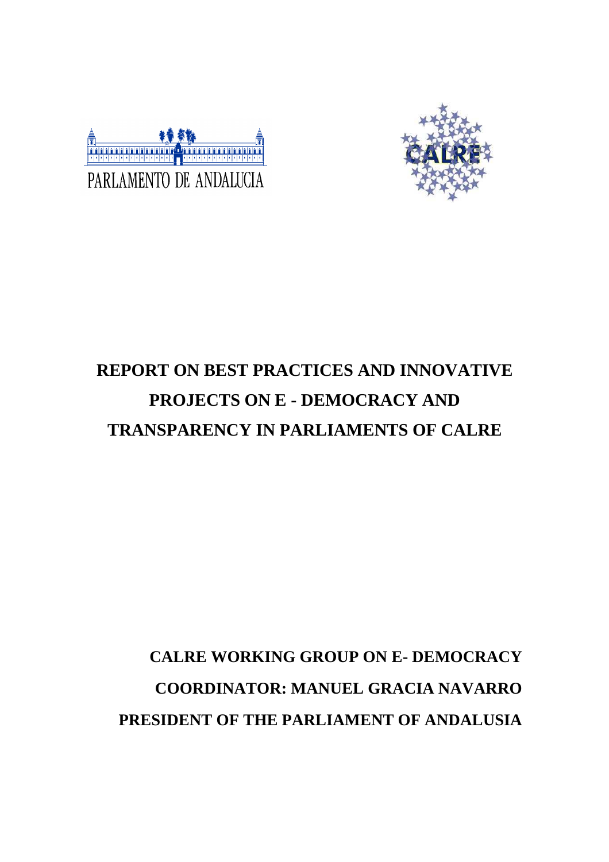



# **REPORT ON BEST PRACTICES AND INNOVATIVE PROJECTS ON E - DEMOCRACY AND TRANSPARENCY IN PARLIAMENTS OF CALRE**

# **CALRE WORKING GROUP ON E- DEMOCRACY COORDINATOR: MANUEL GRACIA NAVARRO PRESIDENT OF THE PARLIAMENT OF ANDALUSIA**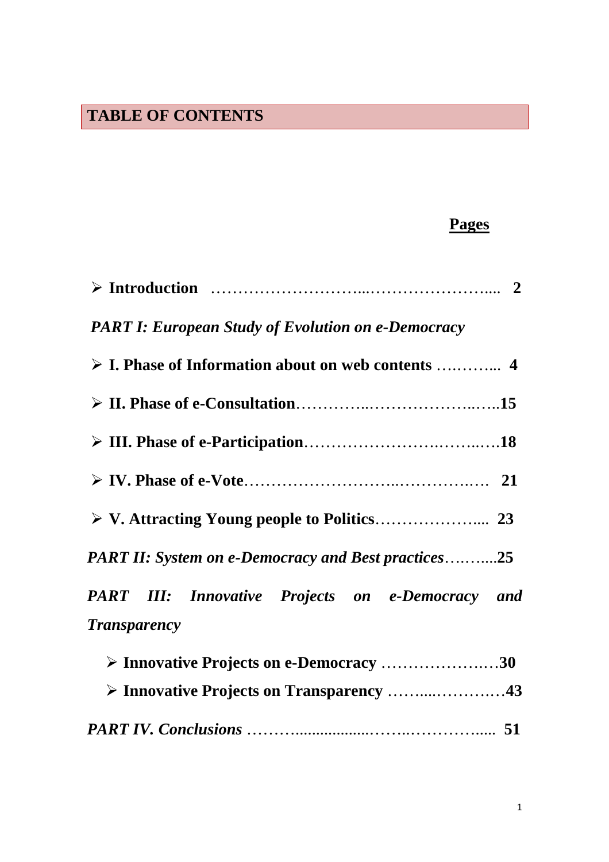## **TABLE OF CONTENTS**

## **Pages**

| <b>PART I: European Study of Evolution on e-Democracy</b>                      |
|--------------------------------------------------------------------------------|
|                                                                                |
|                                                                                |
|                                                                                |
|                                                                                |
|                                                                                |
| <b>PART II:</b> System on e-Democracy and Best practices25                     |
| <b>PART III:</b> Innovative Projects on e-Democracy and<br><b>Transparency</b> |
| > Innovative Projects on e-Democracy 30                                        |
|                                                                                |
|                                                                                |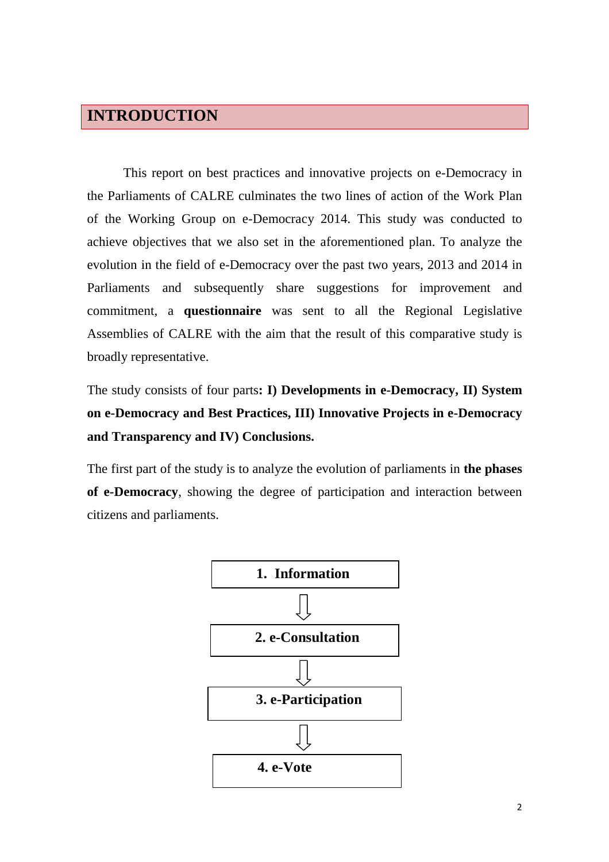## **INTRODUCTION**

This report on best practices and innovative projects on e-Democracy in the Parliaments of CALRE culminates the two lines of action of the Work Plan of the Working Group on e-Democracy 2014. This study was conducted to achieve objectives that we also set in the aforementioned plan. To analyze the evolution in the field of e-Democracy over the past two years, 2013 and 2014 in Parliaments and subsequently share suggestions for improvement and commitment, a **questionnaire** was sent to all the Regional Legislative Assemblies of CALRE with the aim that the result of this comparative study is broadly representative.

The study consists of four parts**: I) Developments in e-Democracy, II) System on e-Democracy and Best Practices, III) Innovative Projects in e-Democracy and Transparency and IV) Conclusions.** 

The first part of the study is to analyze the evolution of parliaments in **the phases of e-Democracy**, showing the degree of participation and interaction between citizens and parliaments.

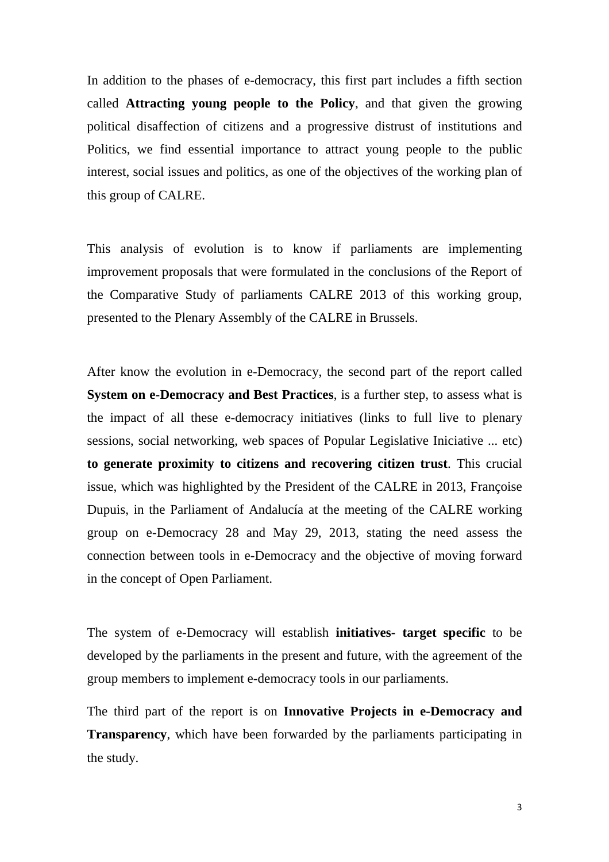In addition to the phases of e-democracy, this first part includes a fifth section called **Attracting young people to the Policy**, and that given the growing political disaffection of citizens and a progressive distrust of institutions and Politics, we find essential importance to attract young people to the public interest, social issues and politics, as one of the objectives of the working plan of this group of CALRE.

This analysis of evolution is to know if parliaments are implementing improvement proposals that were formulated in the conclusions of the Report of the Comparative Study of parliaments CALRE 2013 of this working group, presented to the Plenary Assembly of the CALRE in Brussels.

After know the evolution in e-Democracy, the second part of the report called **System on e-Democracy and Best Practices**, is a further step, to assess what is the impact of all these e-democracy initiatives (links to full live to plenary sessions, social networking, web spaces of Popular Legislative Iniciative ... etc) **to generate proximity to citizens and recovering citizen trust**. This crucial issue, which was highlighted by the President of the CALRE in 2013, Françoise Dupuis, in the Parliament of Andalucía at the meeting of the CALRE working group on e-Democracy 28 and May 29, 2013, stating the need assess the connection between tools in e-Democracy and the objective of moving forward in the concept of Open Parliament.

The system of e-Democracy will establish **initiatives- target specific** to be developed by the parliaments in the present and future, with the agreement of the group members to implement e-democracy tools in our parliaments.

The third part of the report is on **Innovative Projects in e-Democracy and Transparency**, which have been forwarded by the parliaments participating in the study.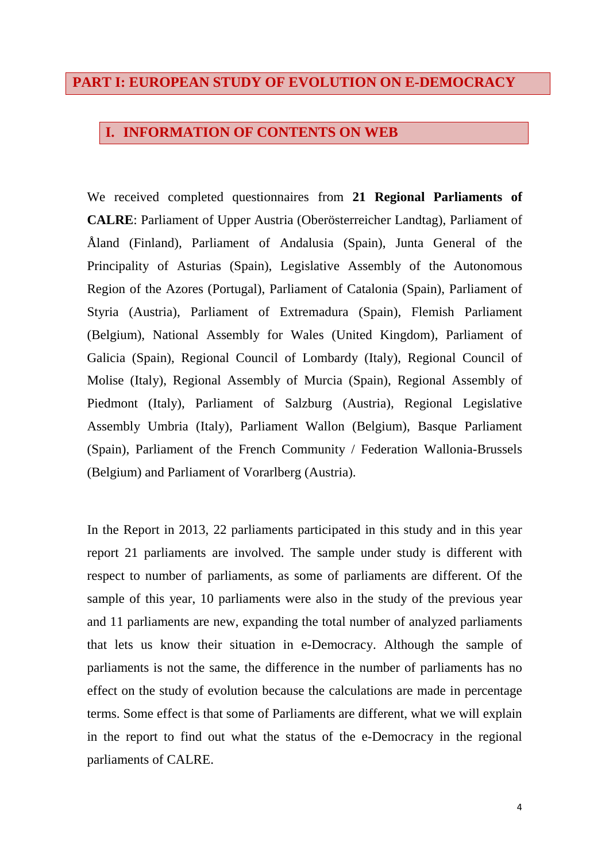## **PART I: EUROPEAN STUDY OF EVOLUTION ON E-DEMOCRACY**

## **I. INFORMATION OF CONTENTS ON WEB**

We received completed questionnaires from **21 Regional Parliaments of CALRE**: Parliament of Upper Austria (Oberösterreicher Landtag), Parliament of Åland (Finland), Parliament of Andalusia (Spain), Junta General of the Principality of Asturias (Spain), Legislative Assembly of the Autonomous Region of the Azores (Portugal), Parliament of Catalonia (Spain), Parliament of Styria (Austria), Parliament of Extremadura (Spain), Flemish Parliament (Belgium), National Assembly for Wales (United Kingdom), Parliament of Galicia (Spain), Regional Council of Lombardy (Italy), Regional Council of Molise (Italy), Regional Assembly of Murcia (Spain), Regional Assembly of Piedmont (Italy), Parliament of Salzburg (Austria), Regional Legislative Assembly Umbria (Italy), Parliament Wallon (Belgium), Basque Parliament (Spain), Parliament of the French Community / Federation Wallonia-Brussels (Belgium) and Parliament of Vorarlberg (Austria).

In the Report in 2013, 22 parliaments participated in this study and in this year report 21 parliaments are involved. The sample under study is different with respect to number of parliaments, as some of parliaments are different. Of the sample of this year, 10 parliaments were also in the study of the previous year and 11 parliaments are new, expanding the total number of analyzed parliaments that lets us know their situation in e-Democracy. Although the sample of parliaments is not the same, the difference in the number of parliaments has no effect on the study of evolution because the calculations are made in percentage terms. Some effect is that some of Parliaments are different, what we will explain in the report to find out what the status of the e-Democracy in the regional parliaments of CALRE.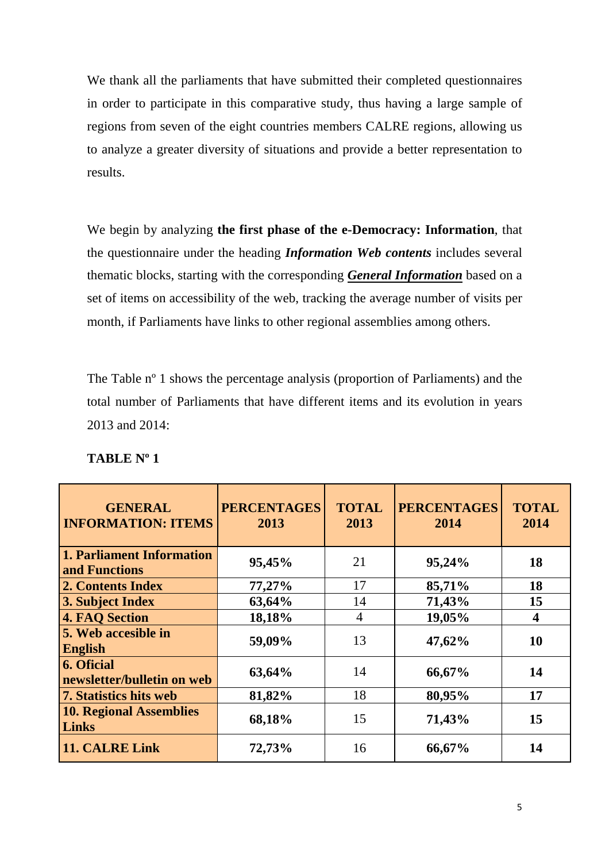We thank all the parliaments that have submitted their completed questionnaires in order to participate in this comparative study, thus having a large sample of regions from seven of the eight countries members CALRE regions, allowing us to analyze a greater diversity of situations and provide a better representation to results.

We begin by analyzing **the first phase of the e-Democracy: Information**, that the questionnaire under the heading *Information Web contents* includes several thematic blocks, starting with the corresponding *General Information* based on a set of items on accessibility of the web, tracking the average number of visits per month, if Parliaments have links to other regional assemblies among others.

The Table nº 1 shows the percentage analysis (proportion of Parliaments) and the total number of Parliaments that have different items and its evolution in years 2013 and 2014:

| <b>GENERAL</b><br><b>INFORMATION: ITEMS</b>     | <b>PERCENTAGES</b><br>2013 | <b>TOTAL</b><br>2013 | <b>PERCENTAGES</b><br>2014 | <b>TOTAL</b><br>2014    |
|-------------------------------------------------|----------------------------|----------------------|----------------------------|-------------------------|
| 1. Parliament Information<br>and Functions      | 95,45%                     | 21                   | 95,24%                     | 18                      |
| 2. Contents Index                               | 77,27%                     | 17                   | 85,71%                     | 18                      |
| 3. Subject Index                                | 63,64%                     | 14                   | 71,43%                     | 15                      |
| <b>4. FAQ Section</b>                           | 18,18%                     | $\overline{4}$       | 19,05%                     | $\overline{\mathbf{4}}$ |
| 5. Web accesible in<br><b>English</b>           | 59,09%                     | 13                   | 47,62%                     | 10                      |
| <b>6. Oficial</b><br>newsletter/bulletin on web | 63,64%                     | 14                   | 66,67%                     | 14                      |
| <b>7. Statistics hits web</b>                   | 81,82%                     | 18                   | 80,95%                     | 17                      |
| <b>10. Regional Assemblies</b><br>Links         | 68,18%                     | 15                   | 71,43%                     | 15                      |
| 11. CALRE Link                                  | 72,73%                     | 16                   | 66,67%                     | 14                      |

#### **TABLE Nº 1**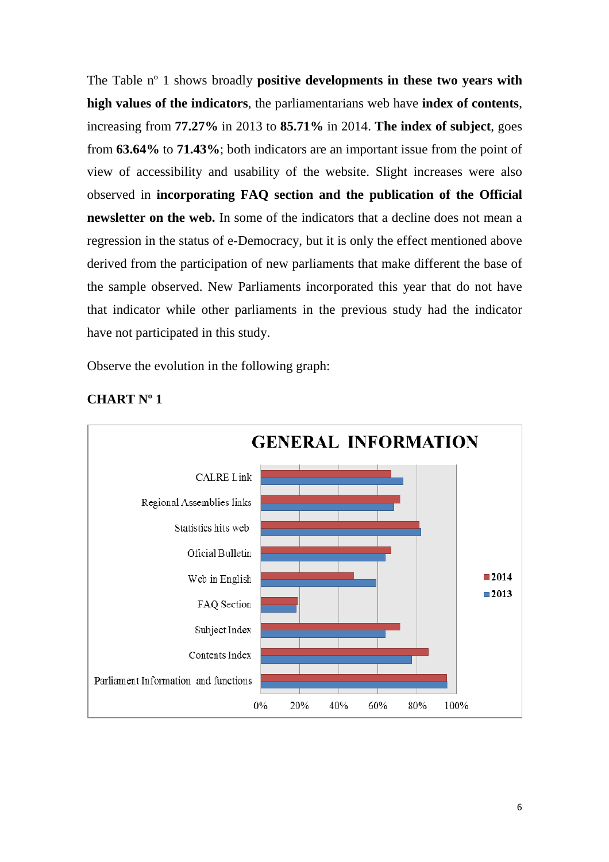The Table nº 1 shows broadly **positive developments in these two years with high values of the indicators**, the parliamentarians web have **index of contents**, increasing from **77.27%** in 2013 to **85.71%** in 2014. **The index of subject**, goes from **63.64%** to **71.43%**; both indicators are an important issue from the point of view of accessibility and usability of the website. Slight increases were also observed in **incorporating FAQ section and the publication of the Official newsletter on the web.** In some of the indicators that a decline does not mean a regression in the status of e-Democracy, but it is only the effect mentioned above derived from the participation of new parliaments that make different the base of the sample observed. New Parliaments incorporated this year that do not have that indicator while other parliaments in the previous study had the indicator have not participated in this study.

Observe the evolution in the following graph:



## **CHART Nº 1**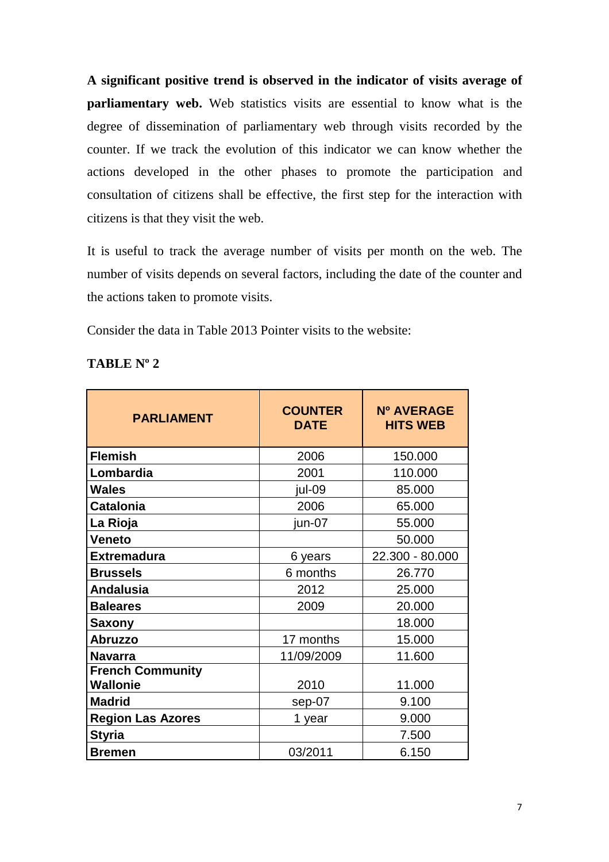**A significant positive trend is observed in the indicator of visits average of parliamentary web.** Web statistics visits are essential to know what is the degree of dissemination of parliamentary web through visits recorded by the counter. If we track the evolution of this indicator we can know whether the actions developed in the other phases to promote the participation and consultation of citizens shall be effective, the first step for the interaction with citizens is that they visit the web.

It is useful to track the average number of visits per month on the web. The number of visits depends on several factors, including the date of the counter and the actions taken to promote visits.

Consider the data in Table 2013 Pointer visits to the website:

| <b>TABLE N°</b> |  |
|-----------------|--|
|-----------------|--|

| <b>PARLIAMENT</b>        | <b>COUNTER</b><br><b>DATE</b> | Nº AVERAGE<br><b>HITS WEB</b> |
|--------------------------|-------------------------------|-------------------------------|
| <b>Flemish</b>           | 2006                          | 150.000                       |
| Lombardia                | 2001                          | 110.000                       |
| Wales                    | jul-09                        | 85.000                        |
| <b>Catalonia</b>         | 2006                          | 65.000                        |
| La Rioja                 | jun-07                        | 55.000                        |
| Veneto                   |                               | 50.000                        |
| <b>Extremadura</b>       | 6 years                       | 22.300 - 80.000               |
| <b>Brussels</b>          | 6 months                      | 26.770                        |
| <b>Andalusia</b>         | 2012                          | 25.000                        |
| <b>Baleares</b>          | 2009                          | 20.000                        |
| Saxony                   |                               | 18.000                        |
| <b>Abruzzo</b>           | 17 months                     | 15.000                        |
| <b>Navarra</b>           | 11/09/2009                    | 11.600                        |
| <b>French Community</b>  |                               |                               |
| <b>Wallonie</b>          | 2010                          | 11.000                        |
| <b>Madrid</b>            | sep-07                        | 9.100                         |
| <b>Region Las Azores</b> | 1 year                        | 9.000                         |
| <b>Styria</b>            |                               | 7.500                         |
| <b>Bremen</b>            | 03/2011                       | 6.150                         |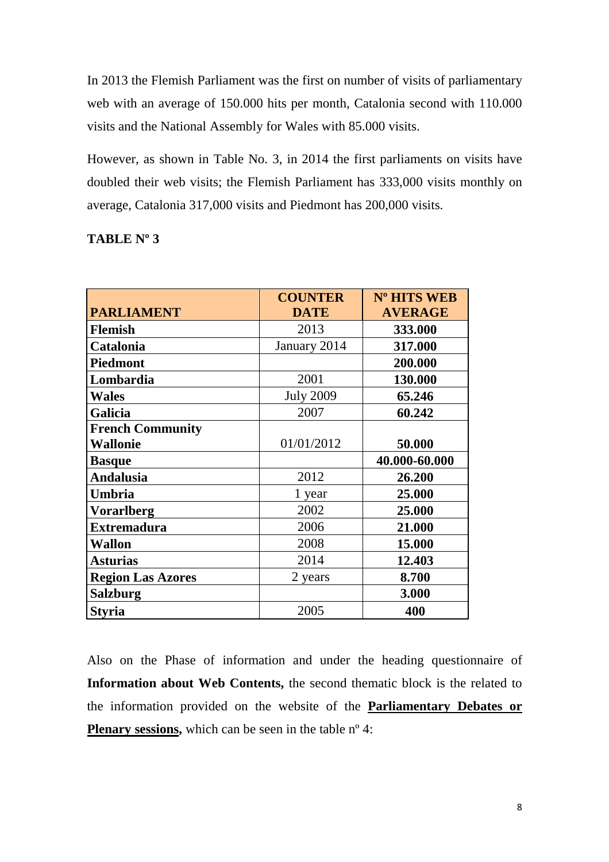In 2013 the Flemish Parliament was the first on number of visits of parliamentary web with an average of 150.000 hits per month, Catalonia second with 110.000 visits and the National Assembly for Wales with 85.000 visits.

However, as shown in Table No. 3, in 2014 the first parliaments on visits have doubled their web visits; the Flemish Parliament has 333,000 visits monthly on average, Catalonia 317,000 visits and Piedmont has 200,000 visits.

| <b>TABLE Nº 3</b> |  |
|-------------------|--|
|                   |  |

|                          | <b>COUNTER</b>   | Nº HITS WEB    |
|--------------------------|------------------|----------------|
| <b>PARLIAMENT</b>        | <b>DATE</b>      | <b>AVERAGE</b> |
| <b>Flemish</b>           | 2013             | 333.000        |
| Catalonia                | January 2014     | 317.000        |
| <b>Piedmont</b>          |                  | 200.000        |
| Lombardia                | 2001             | 130.000        |
| <b>Wales</b>             | <b>July 2009</b> | 65.246         |
| <b>Galicia</b>           | 2007             | 60.242         |
| <b>French Community</b>  |                  |                |
| <b>Wallonie</b>          | 01/01/2012       | 50.000         |
| <b>Basque</b>            |                  | 40.000-60.000  |
| Andalusia                | 2012             | 26.200         |
| Umbria                   | 1 year           | 25.000         |
| <b>Vorarlberg</b>        | 2002             | 25.000         |
| <b>Extremadura</b>       | 2006             | 21.000         |
| Wallon                   | 2008             | 15.000         |
| <b>Asturias</b>          | 2014             | 12.403         |
| <b>Region Las Azores</b> | 2 years          | 8.700          |
| Salzburg                 |                  | 3.000          |
| <b>Styria</b>            | 2005             | 400            |

Also on the Phase of information and under the heading questionnaire of **Information about Web Contents,** the second thematic block is the related to the information provided on the website of the **Parliamentary Debates or Plenary sessions,** which can be seen in the table n<sup>o</sup> 4: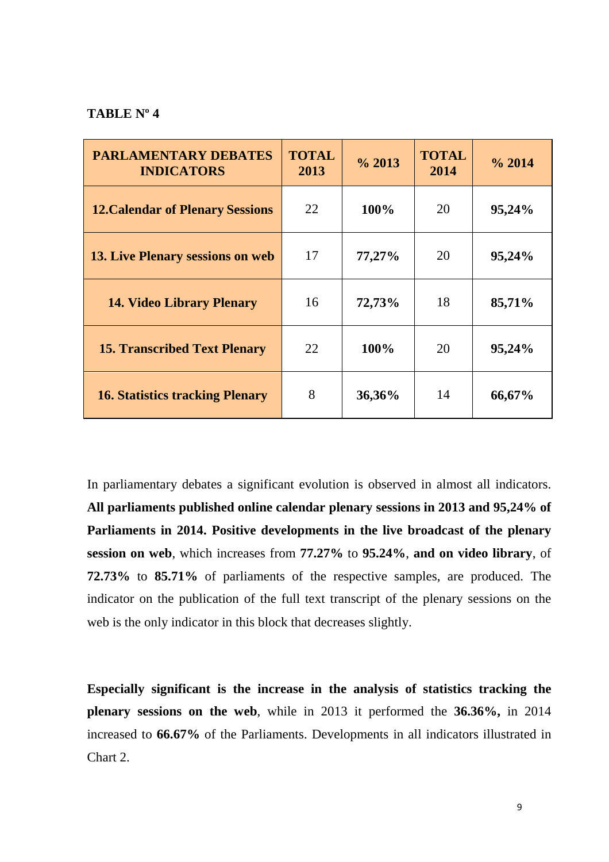#### **TABLE Nº 4**

| <b>PARLAMENTARY DEBATES</b><br><b>INDICATORS</b> | <b>TOTAL</b><br>2013 | $\frac{6}{2013}$ | <b>TOTAL</b><br>2014 | $\%$ 2014 |
|--------------------------------------------------|----------------------|------------------|----------------------|-----------|
| <b>12. Calendar of Plenary Sessions</b>          | 22                   | 100%             | 20                   | 95,24%    |
| <b>13. Live Plenary sessions on web</b>          | 17                   | 77,27%           | 20                   | 95,24%    |
| <b>14. Video Library Plenary</b>                 | 16                   | 72,73%           | 18                   | 85,71%    |
| <b>15. Transcribed Text Plenary</b>              | 22                   | 100%             | 20                   | 95,24%    |
| <b>16. Statistics tracking Plenary</b>           | 8                    | 36,36%           | 14                   | 66,67%    |

In parliamentary debates a significant evolution is observed in almost all indicators. **All parliaments published online calendar plenary sessions in 2013 and 95,24% of Parliaments in 2014. Positive developments in the live broadcast of the plenary session on web**, which increases from **77.27%** to **95.24%**, **and on video library**, of **72.73%** to **85.71%** of parliaments of the respective samples, are produced. The indicator on the publication of the full text transcript of the plenary sessions on the web is the only indicator in this block that decreases slightly.

**Especially significant is the increase in the analysis of statistics tracking the plenary sessions on the web**, while in 2013 it performed the **36.36%,** in 2014 increased to **66.67%** of the Parliaments. Developments in all indicators illustrated in Chart 2.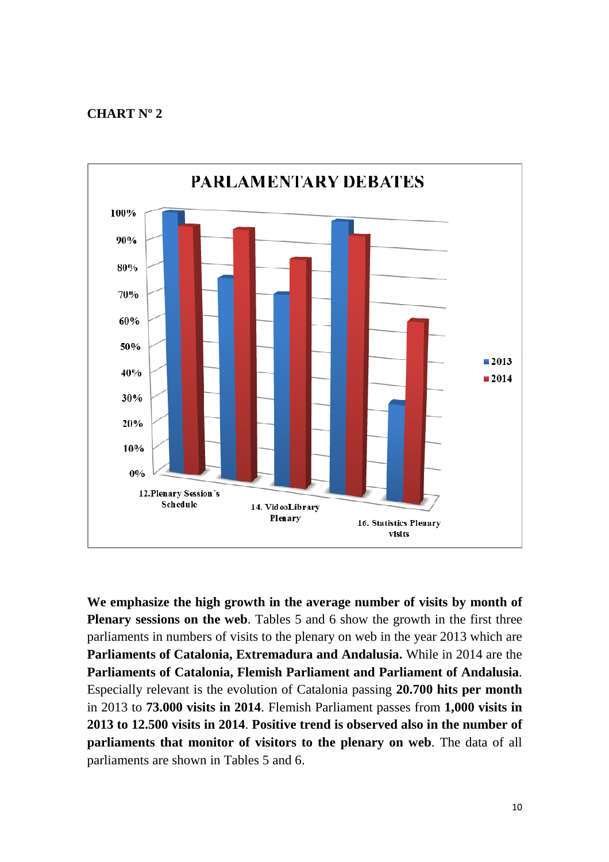#### **CHART Nº 2**



**We emphasize the high growth in the average number of visits by month of Plenary sessions on the web**. Tables 5 and 6 show the growth in the first three parliaments in numbers of visits to the plenary on web in the year 2013 which are **Parliaments of Catalonia, Extremadura and Andalusia.** While in 2014 are the **Parliaments of Catalonia, Flemish Parliament and Parliament of Andalusia**. Especially relevant is the evolution of Catalonia passing **20.700 hits per month** in 2013 to **73.000 visits in 2014**. Flemish Parliament passes from **1,000 visits in 2013 to 12.500 visits in 2014**. **Positive trend is observed also in the number of parliaments that monitor of visitors to the plenary on web**. The data of all parliaments are shown in Tables 5 and 6.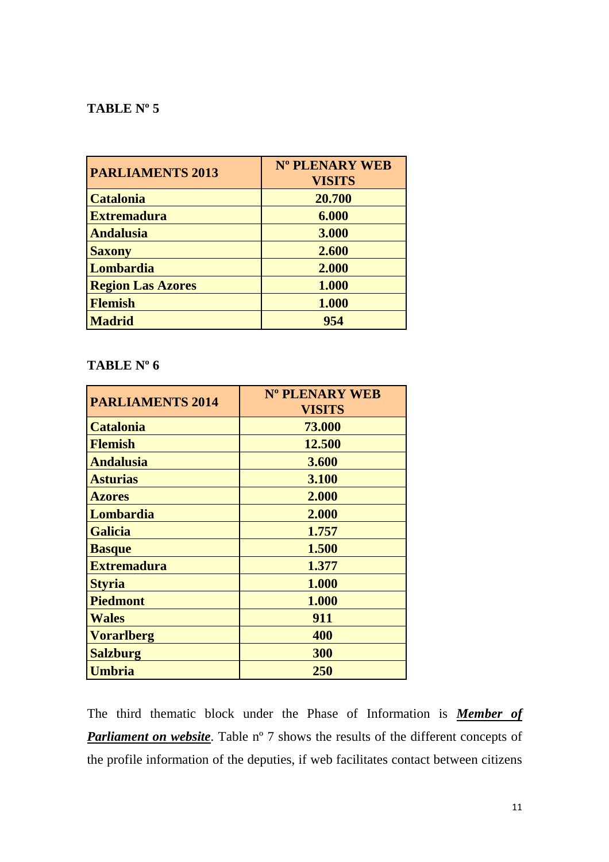## **TABLE Nº 5**

| <b>PARLIAMENTS 2013</b>  | Nº PLENARY WEB<br><b>VISITS</b> |
|--------------------------|---------------------------------|
| <b>Catalonia</b>         | 20.700                          |
| <b>Extremadura</b>       | 6.000                           |
| <b>Andalusia</b>         | 3.000                           |
| <b>Saxony</b>            | 2.600                           |
| Lombardia                | 2.000                           |
| <b>Region Las Azores</b> | 1.000                           |
| <b>Flemish</b>           | 1.000                           |
| <b>Madrid</b>            | 954                             |

## **TABLE Nº 6**

| <b>PARLIAMENTS 2014</b> | Nº PLENARY WEB<br><b>VISITS</b> |
|-------------------------|---------------------------------|
| <b>Catalonia</b>        | 73.000                          |
| <b>Flemish</b>          | 12.500                          |
| <b>Andalusia</b>        | 3.600                           |
| <b>Asturias</b>         | 3.100                           |
| <b>Azores</b>           | 2.000                           |
| Lombardia               | 2.000                           |
| <b>Galicia</b>          | 1.757                           |
| <b>Basque</b>           | 1.500                           |
| <b>Extremadura</b>      | 1.377                           |
| <b>Styria</b>           | 1.000                           |
| <b>Piedmont</b>         | 1.000                           |
| <b>Wales</b>            | 911                             |
| <b>Vorarlberg</b>       | 400                             |
| <b>Salzburg</b>         | 300                             |
| <b>Umbria</b>           | 250                             |

The third thematic block under the Phase of Information is *Member of*  **Parliament on website**. Table n° 7 shows the results of the different concepts of the profile information of the deputies, if web facilitates contact between citizens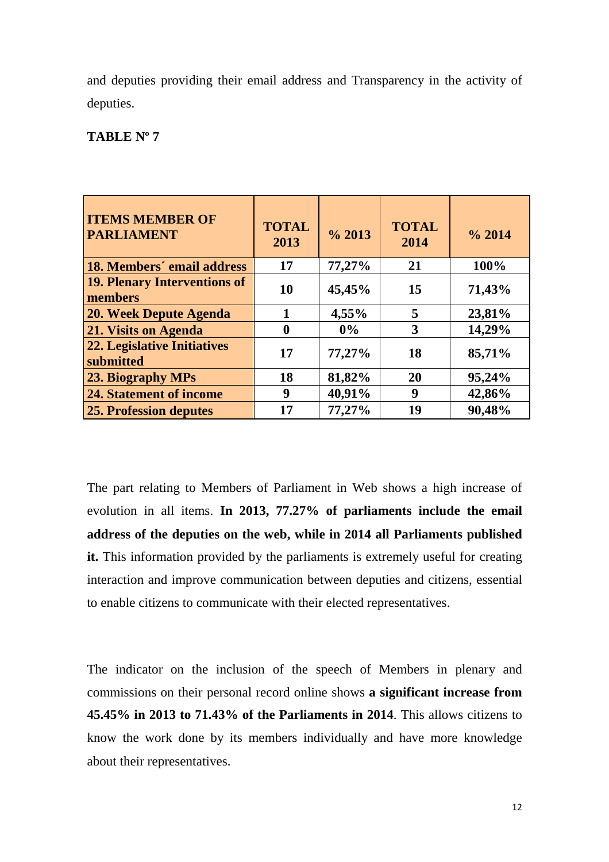and deputies providing their email address and Transparency in the activity of deputies.

## **TABLE Nº 7**

| <b>ITEMS MEMBER OF</b><br><b>PARLIAMENT</b>     | <b>TOTAL</b><br>2013 | $\frac{6}{2013}$ | <b>TOTAL</b><br>2014 | $\frac{6}{2014}$ |
|-------------------------------------------------|----------------------|------------------|----------------------|------------------|
| 18. Members' email address                      | 17                   | 77,27%           | 21                   | 100%             |
| <b>19. Plenary Interventions of</b><br>members  | 10                   | 45,45%           | 15                   | 71,43%           |
| <b>20. Week Depute Agenda</b>                   | 1                    | 4,55%            | 5                    | 23,81%           |
| 21. Visits on Agenda                            | 0                    | 0%               | 3                    | 14,29%           |
| <b>22. Legislative Initiatives</b><br>submitted | 17                   | 77,27%           | 18                   | 85,71%           |
| 23. Biography MPs                               | 18                   | 81,82%           | 20                   | 95,24%           |
| <b>24. Statement of income</b>                  | 9                    | 40,91%           | 9                    | 42,86%           |
| <b>25. Profession deputes</b>                   | 17                   | 77,27%           | 19                   | 90,48%           |

The part relating to Members of Parliament in Web shows a high increase of evolution in all items. **In 2013, 77.27% of parliaments include the email address of the deputies on the web, while in 2014 all Parliaments published it.** This information provided by the parliaments is extremely useful for creating interaction and improve communication between deputies and citizens, essential to enable citizens to communicate with their elected representatives.

The indicator on the inclusion of the speech of Members in plenary and commissions on their personal record online shows **a significant increase from 45.45% in 2013 to 71.43% of the Parliaments in 2014**. This allows citizens to know the work done by its members individually and have more knowledge about their representatives.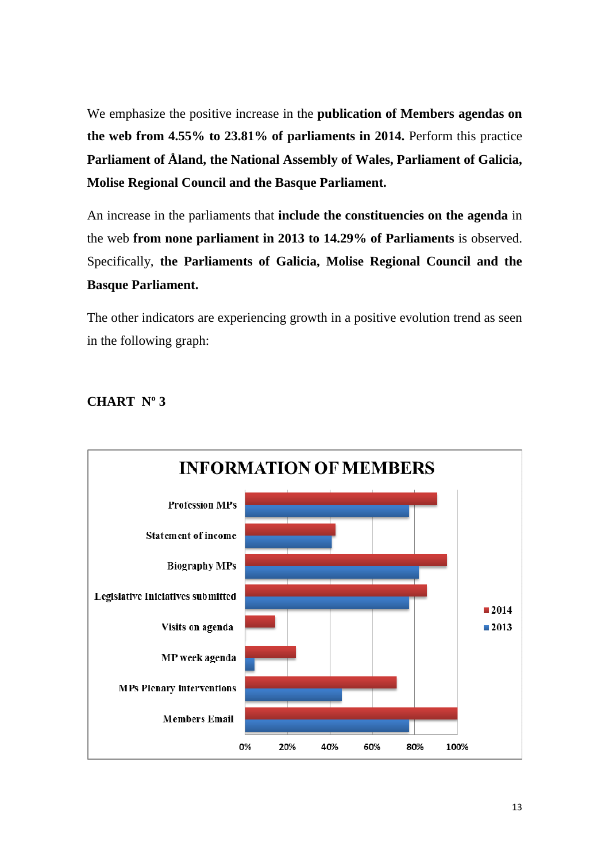We emphasize the positive increase in the **publication of Members agendas on the web from 4.55% to 23.81% of parliaments in 2014.** Perform this practice **Parliament of Åland, the National Assembly of Wales, Parliament of Galicia, Molise Regional Council and the Basque Parliament.** 

An increase in the parliaments that **include the constituencies on the agenda** in the web **from none parliament in 2013 to 14.29% of Parliaments** is observed. Specifically, **the Parliaments of Galicia, Molise Regional Council and the Basque Parliament.** 

The other indicators are experiencing growth in a positive evolution trend as seen in the following graph:



## **CHART Nº 3**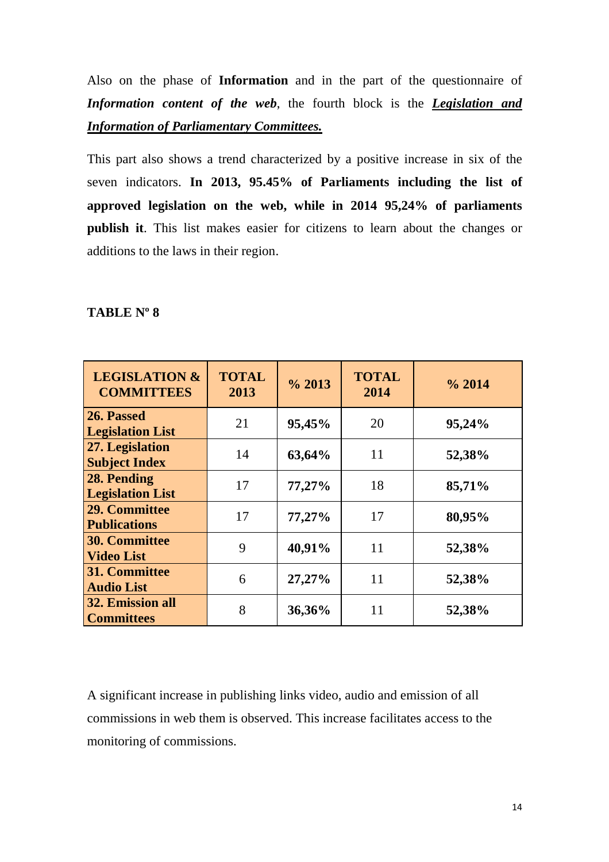Also on the phase of **Information** and in the part of the questionnaire of *Information content of the web*, the fourth block is the *Legislation and Information of Parliamentary Committees.* 

This part also shows a trend characterized by a positive increase in six of the seven indicators. **In 2013, 95.45% of Parliaments including the list of approved legislation on the web, while in 2014 95,24% of parliaments publish it**. This list makes easier for citizens to learn about the changes or additions to the laws in their region.

#### **TABLE Nº 8**

| <b>LEGISLATION &amp;</b><br><b>COMMITTEES</b> | <b>TOTAL</b><br>2013 | $\frac{6}{2013}$ | <b>TOTAL</b><br>2014 | $\%$ 2014 |
|-----------------------------------------------|----------------------|------------------|----------------------|-----------|
| 26. Passed<br><b>Legislation List</b>         | 21                   | 95,45%           | 20                   | 95,24%    |
| 27. Legislation<br><b>Subject Index</b>       | 14                   | 63,64%           | 11                   | 52,38%    |
| 28. Pending<br><b>Legislation List</b>        | 17                   | 77,27%           | 18                   | 85,71%    |
| 29. Committee<br><b>Publications</b>          | 17                   | 77,27%           | 17                   | 80,95%    |
| <b>30. Committee</b><br><b>Video List</b>     | 9                    | 40,91%           | 11                   | 52,38%    |
| 31. Committee<br><b>Audio List</b>            | 6                    | 27,27%           | 11                   | 52,38%    |
| 32. Emission all<br><b>Committees</b>         | 8                    | 36,36%           | 11                   | 52,38%    |

A significant increase in publishing links video, audio and emission of all commissions in web them is observed. This increase facilitates access to the monitoring of commissions.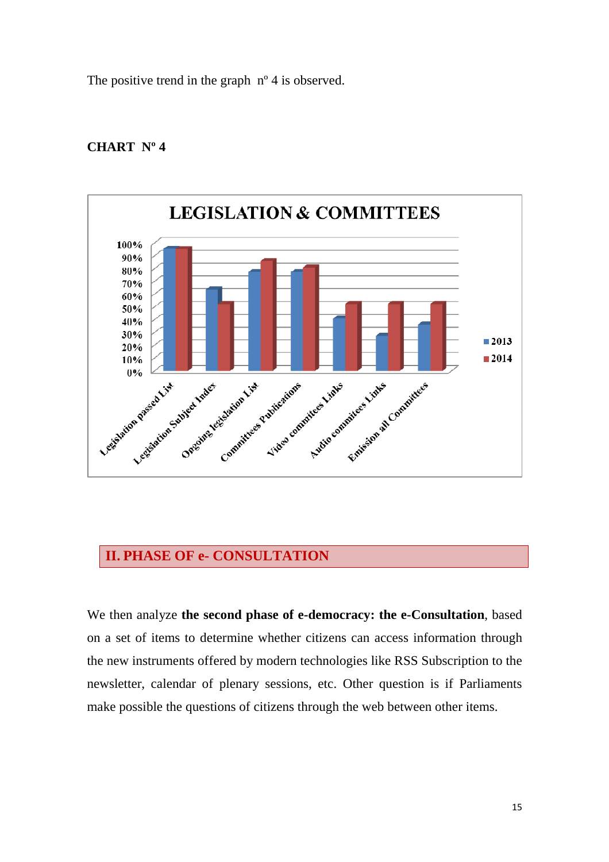The positive trend in the graph  $n^{\circ}$  4 is observed.



#### **CHART Nº 4**

## **II. PHASE OF e- CONSULTATION**

We then analyze **the second phase of e-democracy: the e-Consultation**, based on a set of items to determine whether citizens can access information through the new instruments offered by modern technologies like RSS Subscription to the newsletter, calendar of plenary sessions, etc. Other question is if Parliaments make possible the questions of citizens through the web between other items.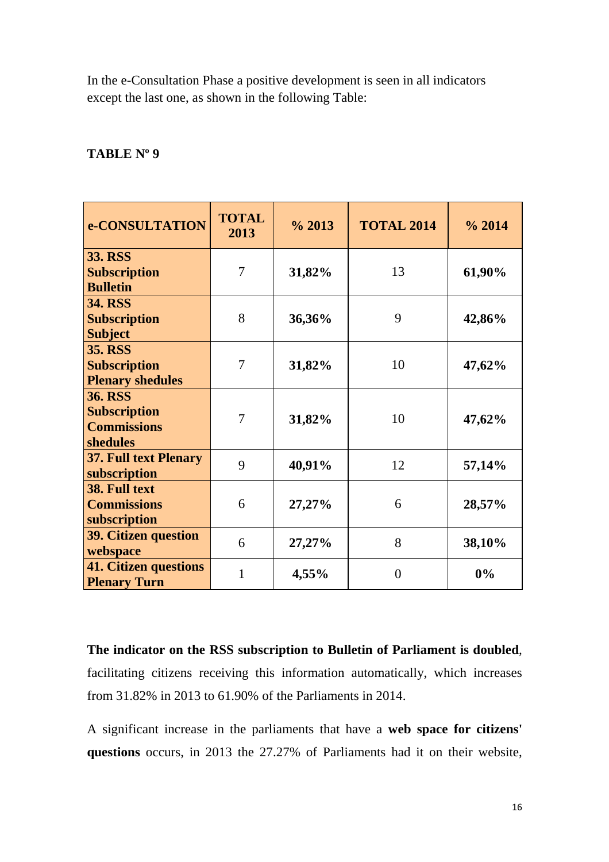In the e-Consultation Phase a positive development is seen in all indicators except the last one, as shown in the following Table:

### **TABLE Nº 9**

| e-CONSULTATION                                                          | <b>TOTAL</b><br>2013 | $\frac{6}{2013}$ | <b>TOTAL 2014</b> | $\%$ 2014 |
|-------------------------------------------------------------------------|----------------------|------------------|-------------------|-----------|
| <b>33. RSS</b><br><b>Subscription</b><br><b>Bulletin</b>                | $\overline{7}$       | 31,82%           | 13                | 61,90%    |
| <b>34. RSS</b><br><b>Subscription</b><br><b>Subject</b>                 | 8                    | 36,36%           | 9                 | 42,86%    |
| <b>35. RSS</b><br><b>Subscription</b><br><b>Plenary shedules</b>        | 7                    | 31,82%           | 10                | 47,62%    |
| <b>36. RSS</b><br><b>Subscription</b><br><b>Commissions</b><br>shedules | 7                    | 31,82%           | 10                | 47,62%    |
| <b>37. Full text Plenary</b><br>subscription                            | 9                    | 40,91%           | 12                | 57,14%    |
| 38. Full text<br><b>Commissions</b><br>subscription                     | 6                    | 27,27%           | 6                 | 28,57%    |
| <b>39. Citizen question</b><br>webspace                                 | 6                    | 27,27%           | 8                 | 38,10%    |
| <b>41. Citizen questions</b><br><b>Plenary Turn</b>                     | 1                    | 4,55%            | $\theta$          | 0%        |

**The indicator on the RSS subscription to Bulletin of Parliament is doubled**, facilitating citizens receiving this information automatically, which increases from 31.82% in 2013 to 61.90% of the Parliaments in 2014.

A significant increase in the parliaments that have a **web space for citizens' questions** occurs, in 2013 the 27.27% of Parliaments had it on their website,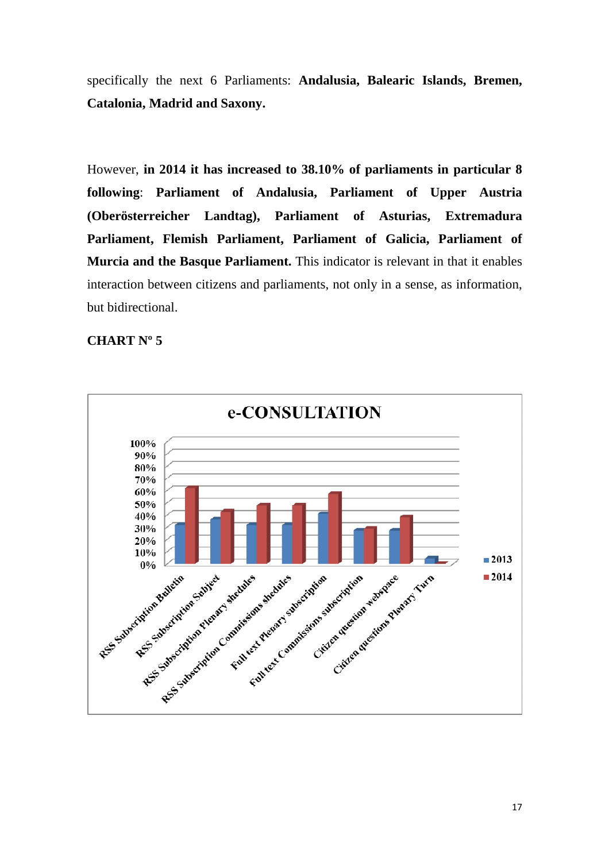specifically the next 6 Parliaments: **Andalusia, Balearic Islands, Bremen, Catalonia, Madrid and Saxony.** 

However, **in 2014 it has increased to 38.10% of parliaments in particular 8 following**: **Parliament of Andalusia, Parliament of Upper Austria (Oberösterreicher Landtag), Parliament of Asturias, Extremadura Parliament, Flemish Parliament, Parliament of Galicia, Parliament of Murcia and the Basque Parliament.** This indicator is relevant in that it enables interaction between citizens and parliaments, not only in a sense, as information, but bidirectional.

## **CHART Nº 5**

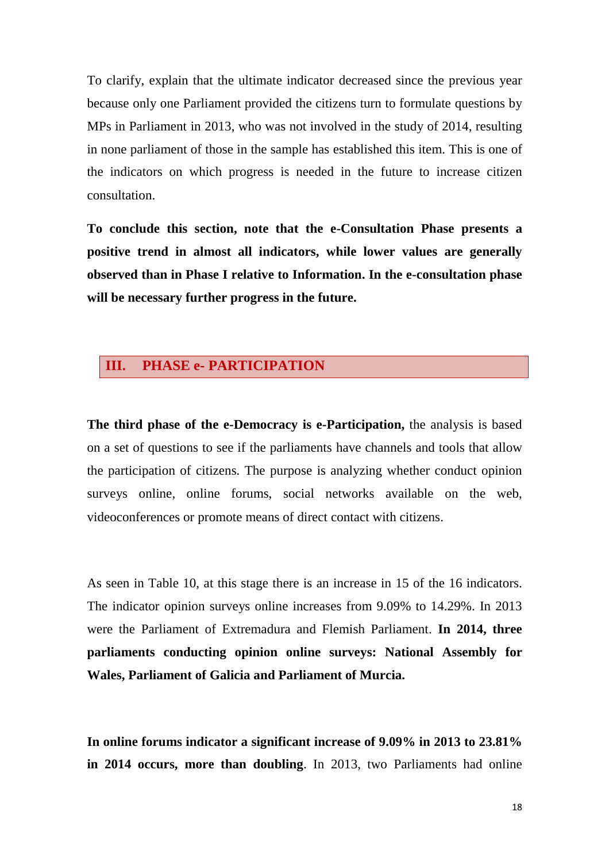To clarify, explain that the ultimate indicator decreased since the previous year because only one Parliament provided the citizens turn to formulate questions by MPs in Parliament in 2013, who was not involved in the study of 2014, resulting in none parliament of those in the sample has established this item. This is one of the indicators on which progress is needed in the future to increase citizen consultation.

**To conclude this section, note that the e-Consultation Phase presents a positive trend in almost all indicators, while lower values are generally observed than in Phase I relative to Information. In the e-consultation phase will be necessary further progress in the future.** 

## **III. PHASE e- PARTICIPATION**

**The third phase of the e-Democracy is e-Participation,** the analysis is based on a set of questions to see if the parliaments have channels and tools that allow the participation of citizens. The purpose is analyzing whether conduct opinion surveys online, online forums, social networks available on the web, videoconferences or promote means of direct contact with citizens.

As seen in Table 10, at this stage there is an increase in 15 of the 16 indicators. The indicator opinion surveys online increases from 9.09% to 14.29%. In 2013 were the Parliament of Extremadura and Flemish Parliament. **In 2014, three parliaments conducting opinion online surveys: National Assembly for Wales, Parliament of Galicia and Parliament of Murcia.** 

**In online forums indicator a significant increase of 9.09% in 2013 to 23.81% in 2014 occurs, more than doubling**. In 2013, two Parliaments had online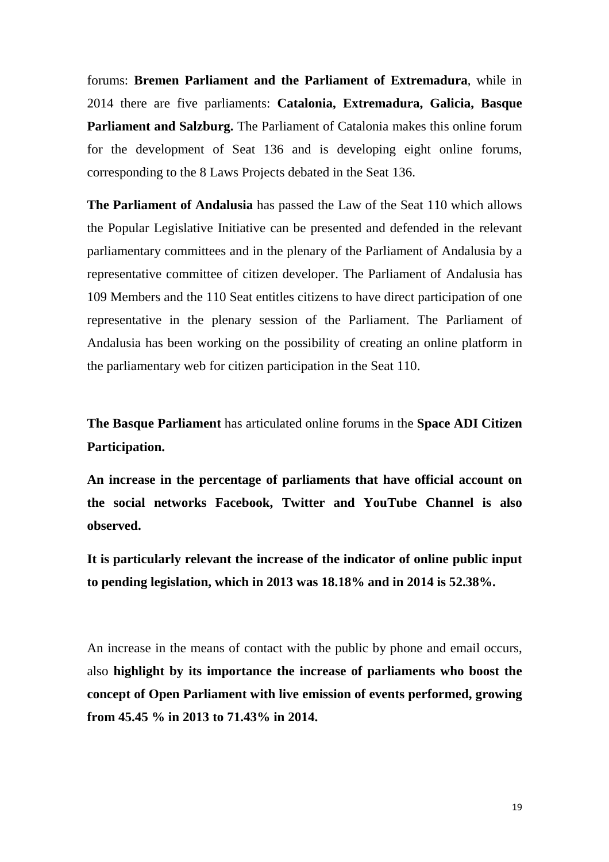forums: **Bremen Parliament and the Parliament of Extremadura**, while in 2014 there are five parliaments: **Catalonia, Extremadura, Galicia, Basque Parliament and Salzburg.** The Parliament of Catalonia makes this online forum for the development of Seat 136 and is developing eight online forums, corresponding to the 8 Laws Projects debated in the Seat 136.

**The Parliament of Andalusia** has passed the Law of the Seat 110 which allows the Popular Legislative Initiative can be presented and defended in the relevant parliamentary committees and in the plenary of the Parliament of Andalusia by a representative committee of citizen developer. The Parliament of Andalusia has 109 Members and the 110 Seat entitles citizens to have direct participation of one representative in the plenary session of the Parliament. The Parliament of Andalusia has been working on the possibility of creating an online platform in the parliamentary web for citizen participation in the Seat 110.

**The Basque Parliament** has articulated online forums in the **Space ADI Citizen Participation.**

**An increase in the percentage of parliaments that have official account on the social networks Facebook, Twitter and YouTube Channel is also observed.** 

**It is particularly relevant the increase of the indicator of online public input to pending legislation, which in 2013 was 18.18% and in 2014 is 52.38%.** 

An increase in the means of contact with the public by phone and email occurs, also **highlight by its importance the increase of parliaments who boost the concept of Open Parliament with live emission of events performed, growing from 45.45 % in 2013 to 71.43% in 2014.**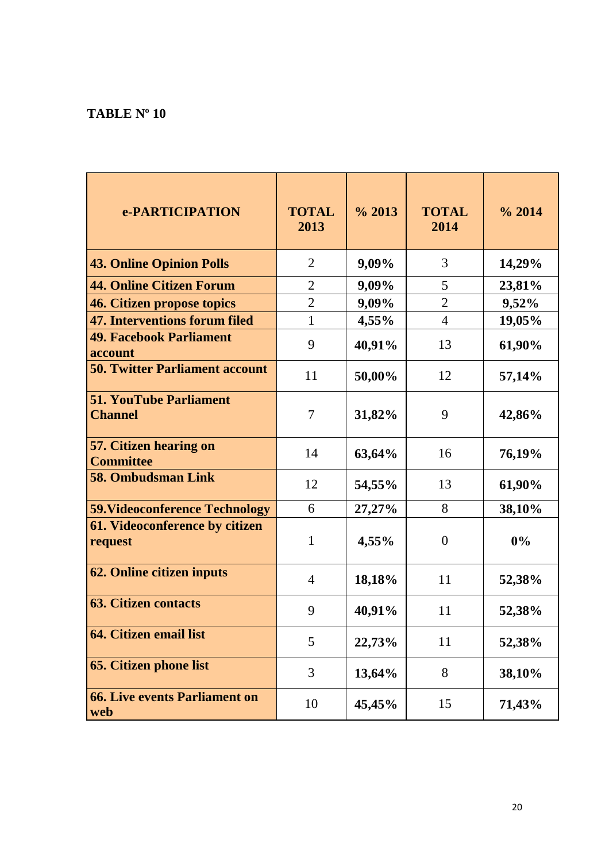## **TABLE Nº 10**

| e-PARTICIPATION                                   | <b>TOTAL</b><br>2013 | $\%$ 2013 | <b>TOTAL</b><br>2014 | % 2014 |
|---------------------------------------------------|----------------------|-----------|----------------------|--------|
| <b>43. Online Opinion Polls</b>                   | $\overline{2}$       | 9,09%     | 3                    | 14,29% |
| <b>44. Online Citizen Forum</b>                   | $\overline{2}$       | 9,09%     | 5                    | 23,81% |
| 46. Citizen propose topics                        | $\overline{2}$       | 9,09%     | $\overline{2}$       | 9,52%  |
| 47. Interventions forum filed                     | $\mathbf{1}$         | 4,55%     | $\overline{4}$       | 19,05% |
| <b>49. Facebook Parliament</b><br>account         | 9                    | 40,91%    | 13                   | 61,90% |
| <b>50. Twitter Parliament account</b>             | 11                   | 50,00%    | 12                   | 57,14% |
| <b>51. YouTube Parliament</b><br><b>Channel</b>   | $\tau$               | 31,82%    | 9                    | 42,86% |
| <b>57. Citizen hearing on</b><br><b>Committee</b> | 14                   | 63,64%    | 16                   | 76,19% |
| <b>58. Ombudsman Link</b>                         | 12                   | 54,55%    | 13                   | 61,90% |
| <b>59. Videoconference Technology</b>             | 6                    | 27,27%    | 8                    | 38,10% |
| 61. Videoconference by citizen<br>request         | 1                    | 4,55%     | $\theta$             | 0%     |
| <b>62. Online citizen inputs</b>                  | $\overline{4}$       | 18,18%    | 11                   | 52,38% |
| <b>63. Citizen contacts</b>                       | 9                    | 40,91%    | 11                   | 52,38% |
| <b>64. Citizen email list</b>                     | 5                    | 22,73%    | 11                   | 52,38% |
| <b>65. Citizen phone list</b>                     | 3                    | 13,64%    | 8                    | 38,10% |
| <b>66. Live events Parliament on</b><br>web       | 10                   | 45,45%    | 15                   | 71,43% |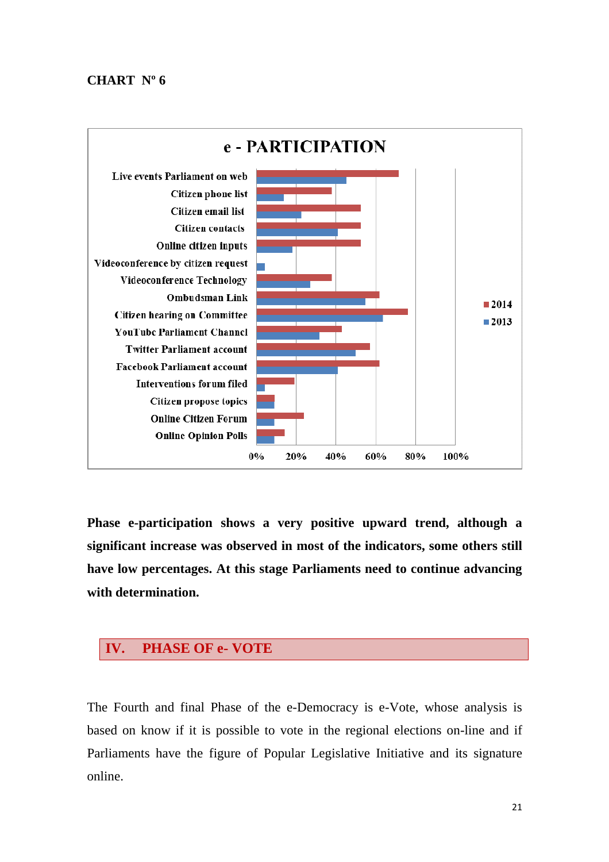### **CHART Nº 6**



**Phase e-participation shows a very positive upward trend, although a significant increase was observed in most of the indicators, some others still have low percentages. At this stage Parliaments need to continue advancing with determination.** 

## **IV. PHASE OF e- VOTE**

The Fourth and final Phase of the e-Democracy is e-Vote, whose analysis is based on know if it is possible to vote in the regional elections on-line and if Parliaments have the figure of Popular Legislative Initiative and its signature online.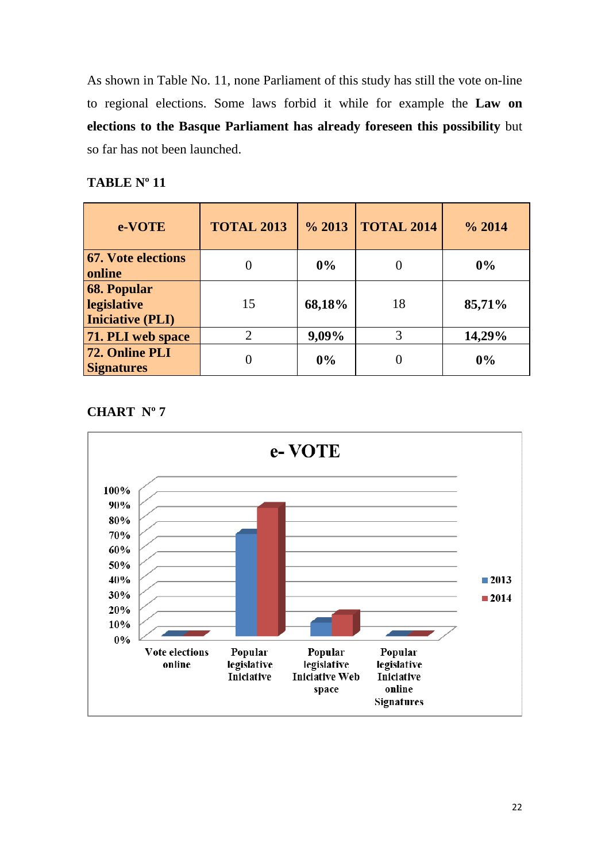As shown in Table No. 11, none Parliament of this study has still the vote on-line to regional elections. Some laws forbid it while for example the **Law on elections to the Basque Parliament has already foreseen this possibility** but so far has not been launched.

## **TABLE Nº 11**

| e-VOTE                                                       | <b>TOTAL 2013</b>           | $\%$ 2013 | <b>TOTAL 2014</b> | $\%$ 2014 |
|--------------------------------------------------------------|-----------------------------|-----------|-------------------|-----------|
| <b>67. Vote elections</b><br>online                          |                             | $0\%$     | $\left( \right)$  | $0\%$     |
| <b>68. Popular</b><br>legislative<br><b>Iniciative (PLI)</b> | 15                          | 68,18%    | 18                | 85,71%    |
| 71. PLI web space                                            | $\mathcal{D}_{\mathcal{L}}$ | 9,09%     | 3                 | 14,29%    |
| 72. Online PLI<br><b>Signatures</b>                          |                             | 0%        |                   | 0%        |

## **CHART Nº 7**

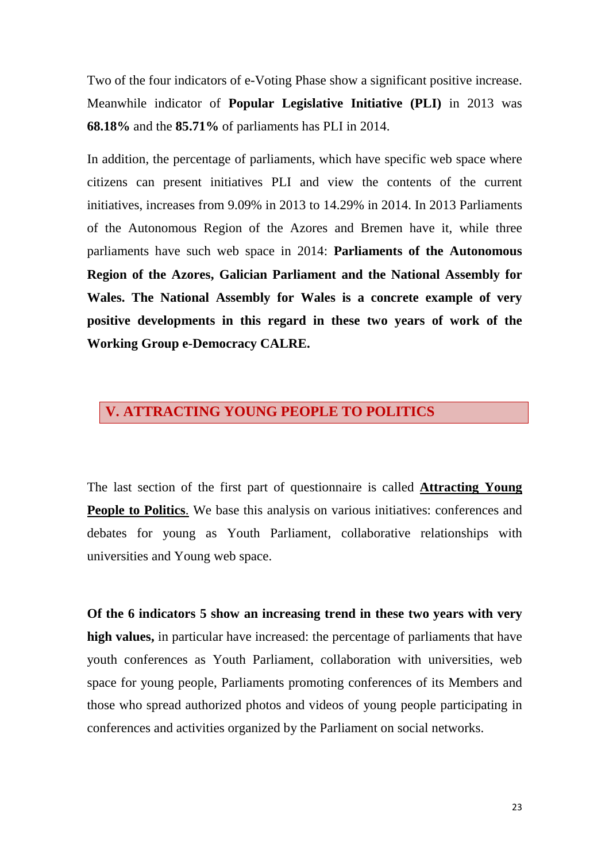Two of the four indicators of e-Voting Phase show a significant positive increase. Meanwhile indicator of **Popular Legislative Initiative (PLI)** in 2013 was **68.18%** and the **85.71%** of parliaments has PLI in 2014.

In addition, the percentage of parliaments, which have specific web space where citizens can present initiatives PLI and view the contents of the current initiatives, increases from 9.09% in 2013 to 14.29% in 2014. In 2013 Parliaments of the Autonomous Region of the Azores and Bremen have it, while three parliaments have such web space in 2014: **Parliaments of the Autonomous Region of the Azores, Galician Parliament and the National Assembly for Wales. The National Assembly for Wales is a concrete example of very positive developments in this regard in these two years of work of the Working Group e-Democracy CALRE.**

## **V. ATTRACTING YOUNG PEOPLE TO POLITICS**

The last section of the first part of questionnaire is called **Attracting Young People to Politics**. We base this analysis on various initiatives: conferences and debates for young as Youth Parliament, collaborative relationships with universities and Young web space.

**Of the 6 indicators 5 show an increasing trend in these two years with very high values,** in particular have increased: the percentage of parliaments that have youth conferences as Youth Parliament, collaboration with universities, web space for young people, Parliaments promoting conferences of its Members and those who spread authorized photos and videos of young people participating in conferences and activities organized by the Parliament on social networks.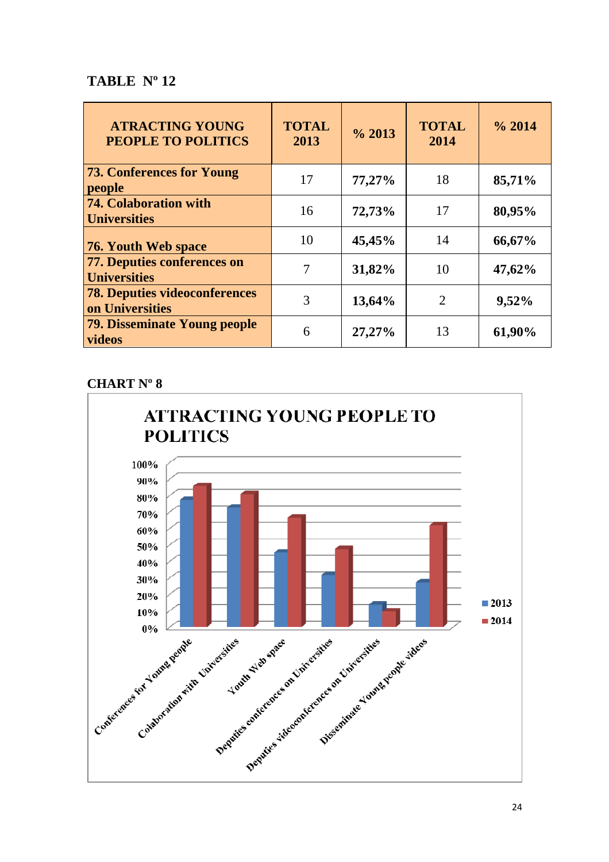## **TABLE Nº 12**

| <b>ATRACTING YOUNG</b><br><b>PEOPLE TO POLITICS</b>     | <b>TOTAL</b><br>2013 | $\frac{6}{2013}$ | <b>TOTAL</b><br>2014 | $\frac{6}{2014}$ |
|---------------------------------------------------------|----------------------|------------------|----------------------|------------------|
| <b>73. Conferences for Young</b><br>people              | 17                   | 77,27%           | 18                   | 85,71%           |
| 74. Colaboration with<br><b>Universities</b>            | 16                   | 72,73%           | 17                   | 80,95%           |
| 76. Youth Web space                                     | 10                   | 45,45%           | 14                   | 66,67%           |
| 77. Deputies conferences on<br><b>Universities</b>      | 7                    | 31,82%           | 10                   | 47,62%           |
| <b>78. Deputies videoconferences</b><br>on Universities | 3                    | 13,64%           | $\overline{2}$       | 9,52%            |
| <b>79. Disseminate Young people</b><br>videos           | 6                    | 27,27%           | 13                   | 61,90%           |

## **CHART Nº 8**

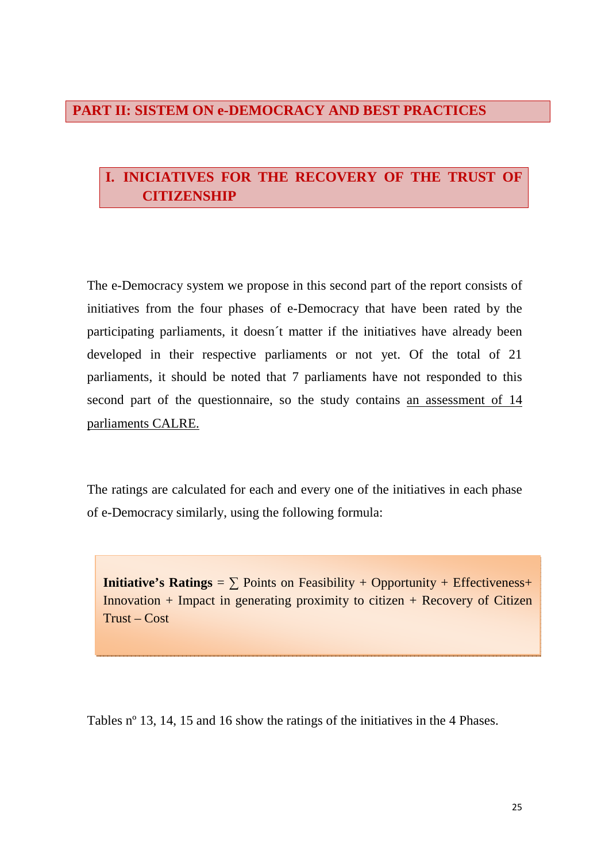## **PART II: SISTEM ON e-DEMOCRACY AND BEST PRACTICES**

## **I. INICIATIVES FOR THE RECOVERY OF THE TRUST OF CITIZENSHIP**

The e-Democracy system we propose in this second part of the report consists of initiatives from the four phases of e-Democracy that have been rated by the participating parliaments, it doesn´t matter if the initiatives have already been developed in their respective parliaments or not yet. Of the total of 21 parliaments, it should be noted that 7 parliaments have not responded to this second part of the questionnaire, so the study contains an assessment of 14 parliaments CALRE.

The ratings are calculated for each and every one of the initiatives in each phase of e-Democracy similarly, using the following formula:

**Initiative's Ratings** =  $\sum$  Points on Feasibility + Opportunity + Effectiveness+ Innovation  $+$  Impact in generating proximity to citizen  $+$  Recovery of Citizen  $Trust - Cost$ 

Tables nº 13, 14, 15 and 16 show the ratings of the initiatives in the 4 Phases.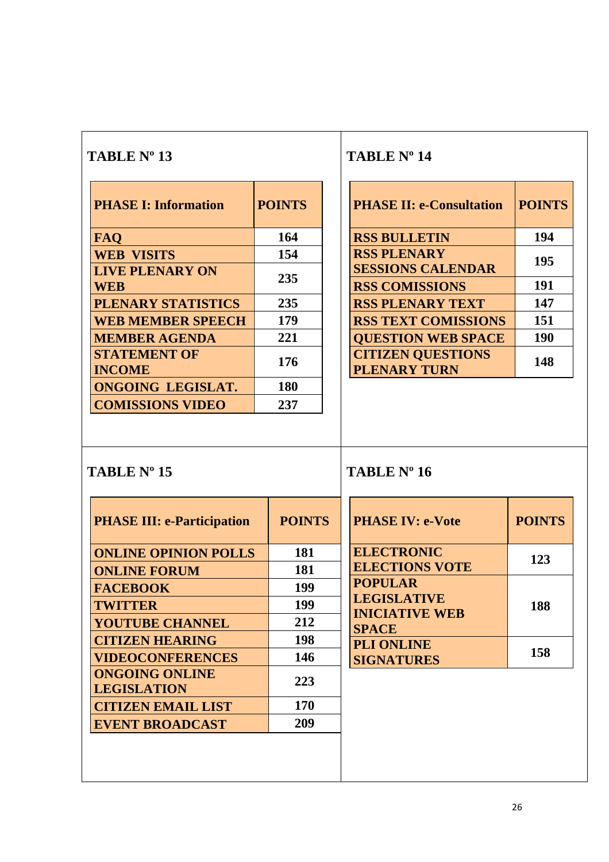| <b>PHASE I: Information</b>          | <b>POINTS</b> |
|--------------------------------------|---------------|
| <b>FAQ</b>                           | 164           |
| <b>WEB VISITS</b>                    | 154           |
| <b>LIVE PLENARY ON</b><br>WEB        | 235           |
| PLENARY STATISTICS                   | 235           |
| <b>WEB MEMBER SPEECH</b>             | 179           |
| <b>MEMBER AGENDA</b>                 | 221           |
| <b>STATEMENT OF</b><br><b>INCOME</b> | 176           |
| <b>ONGOING LEGISLAT.</b>             | 180           |
| <b>COMISSIONS VIDEO</b>              | 237           |

## **TABLE Nº 14**

| <b>PHASE II: e-Consultation</b>                 | <b>POINTS</b> |
|-------------------------------------------------|---------------|
| <b>RSS BULLETIN</b>                             | 194           |
| <b>RSS PLENARY</b><br><b>SESSIONS CALENDAR</b>  | 195           |
| <b>RSS COMISSIONS</b>                           | 191           |
| <b>RSS PLENARY TEXT</b>                         | 147           |
| <b>RSS TEXT COMISSIONS</b>                      | 151           |
| <b>QUESTION WEB SPACE</b>                       | 190           |
| <b>CITIZEN QUESTIONS</b><br><b>PLENARY TURN</b> | 148           |

## **TABLE Nº 15**

## **TABLE Nº 16**

| <b>PHASE III: e-Participation</b>           | <b>POINTS</b> |
|---------------------------------------------|---------------|
| <b>ONLINE OPINION POLLS</b>                 | 181           |
| <b>ONLINE FORUM</b>                         | 181           |
| <b>FACEBOOK</b>                             | 199           |
| <b>TWITTER</b>                              | 199           |
| <b>YOUTUBE CHANNEL</b>                      | 212           |
| <b>CITIZEN HEARING</b>                      | 198           |
| <b>VIDEOCONFERENCES</b>                     | 146           |
| <b>ONGOING ONLINE</b><br><b>LEGISLATION</b> | 223           |
| <b>CITIZEN EMAIL LIST</b>                   | 170           |
| <b>EVENT BROADCAST</b>                      | 209           |
|                                             |               |

| <b>PHASE IV: e-Vote</b>                                                       | <b>POINTS</b> |
|-------------------------------------------------------------------------------|---------------|
| <b>ELECTRONIC</b><br><b>ELECTIONS VOTE</b>                                    | 123           |
| <b>POPULAR</b><br><b>LEGISLATIVE</b><br><b>INICIATIVE WEB</b><br><b>SPACE</b> | 188           |
| <b>PLI ONLINE</b><br><b>SIGNATURES</b>                                        | 158           |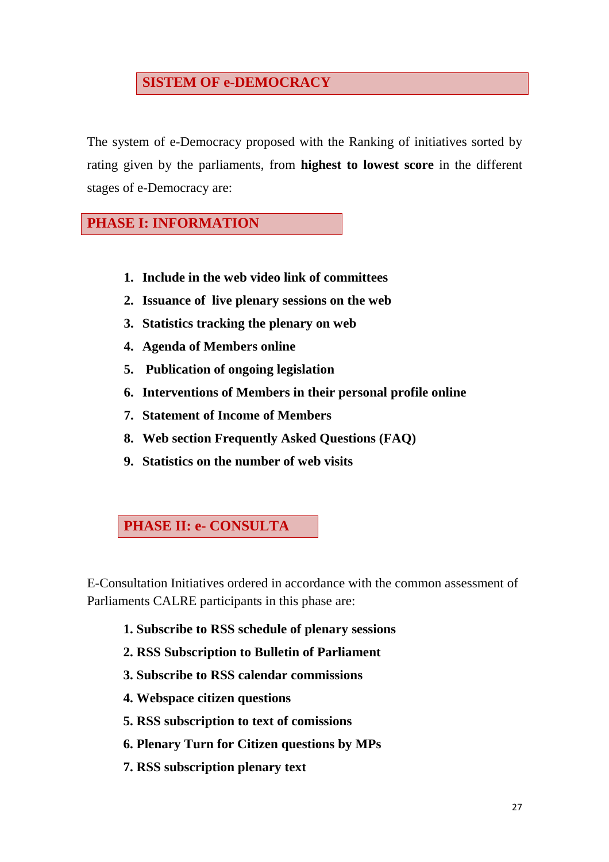## **SISTEM OF e-DEMOCRACY**

The system of e-Democracy proposed with the Ranking of initiatives sorted by rating given by the parliaments, from **highest to lowest score** in the different stages of e-Democracy are:

## **PHASE I: INFORMATION**

- **1. Include in the web video link of committees**
- **2. Issuance of live plenary sessions on the web**
- **3. Statistics tracking the plenary on web**
- **4. Agenda of Members online**
- **5. Publication of ongoing legislation**
- **6. Interventions of Members in their personal profile online**
- **7. Statement of Income of Members**
- **8. Web section Frequently Asked Questions (FAQ)**
- **9. Statistics on the number of web visits**

## **PHASE II: e- CONSULTA**

E-Consultation Initiatives ordered in accordance with the common assessment of Parliaments CALRE participants in this phase are:

- **1. Subscribe to RSS schedule of plenary sessions**
- **2. RSS Subscription to Bulletin of Parliament**
- **3. Subscribe to RSS calendar commissions**
- **4. Webspace citizen questions**
- **5. RSS subscription to text of comissions**
- **6. Plenary Turn for Citizen questions by MPs**
- **7. RSS subscription plenary text**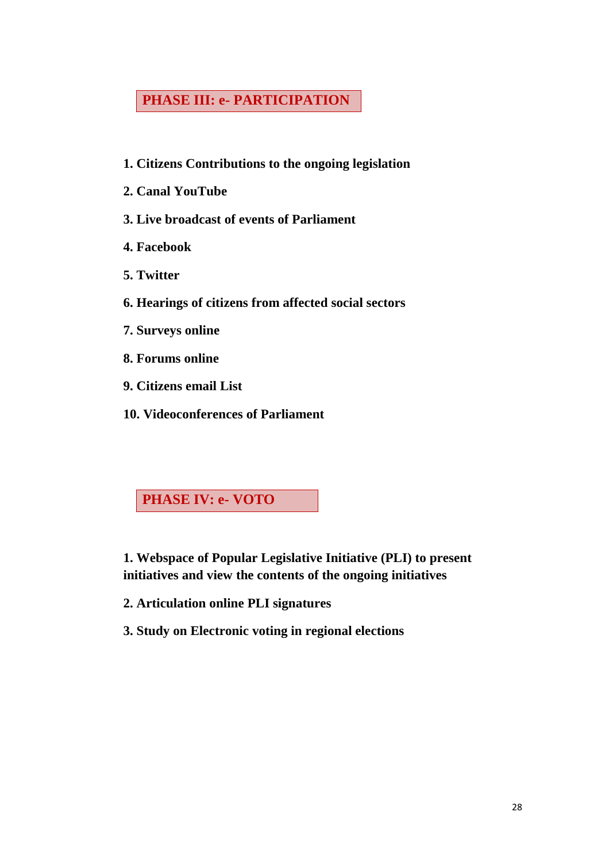## **PHASE III: e- PARTICIPATION**

- **1. Citizens Contributions to the ongoing legislation**
- **2. Canal YouTube**
- **3. Live broadcast of events of Parliament**
- **4. Facebook**
- **5. Twitter**
- **6. Hearings of citizens from affected social sectors**
- **7. Surveys online**
- **8. Forums online**
- **9. Citizens email List**
- **10. Videoconferences of Parliament**

**PHASE IV: e- VOTO** 

**1. Webspace of Popular Legislative Initiative (PLI) to present initiatives and view the contents of the ongoing initiatives** 

- **2. Articulation online PLI signatures**
- **3. Study on Electronic voting in regional elections**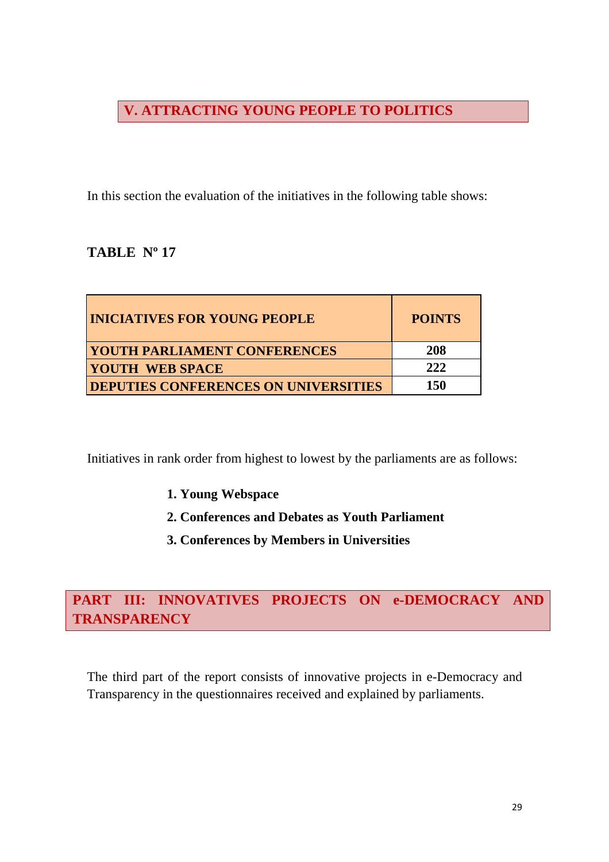## **V. ATTRACTING YOUNG PEOPLE TO POLITICS**

In this section the evaluation of the initiatives in the following table shows:

## **TABLE Nº 17**

| <b>INICIATIVES FOR YOUNG PEOPLE</b>         | <b>POINTS</b> |
|---------------------------------------------|---------------|
| <b>YOUTH PARLIAMENT CONFERENCES</b>         | 208           |
| <b>YOUTH WEB SPACE</b>                      | 222           |
| <b>DEPUTIES CONFERENCES ON UNIVERSITIES</b> | <b>150</b>    |

Initiatives in rank order from highest to lowest by the parliaments are as follows:

- **1. Young Webspace**
- **2. Conferences and Debates as Youth Parliament**
- **3. Conferences by Members in Universities**

## **PART III: INNOVATIVES PROJECTS ON e-DEMOCRACY AND TRANSPARENCY**

The third part of the report consists of innovative projects in e-Democracy and Transparency in the questionnaires received and explained by parliaments.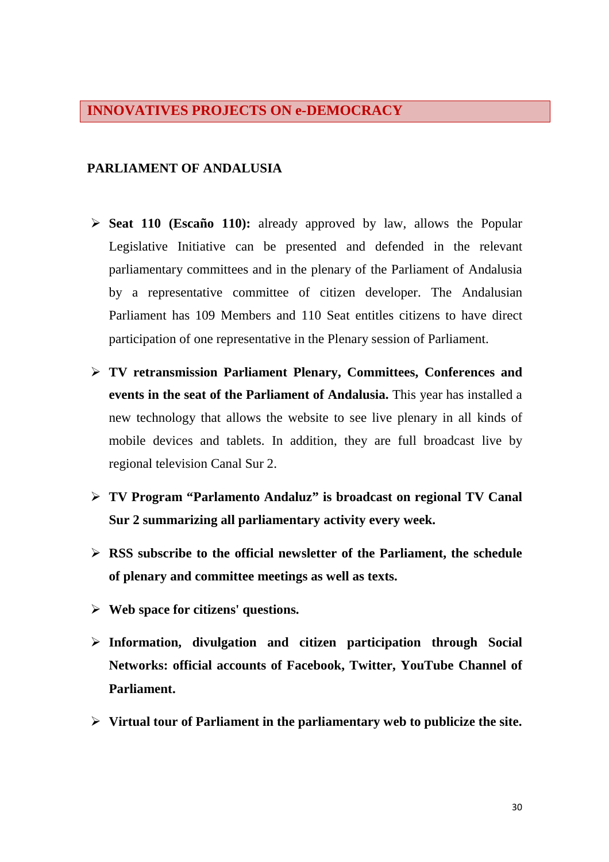### **INNOVATIVES PROJECTS ON e-DEMOCRACY**

#### **PARLIAMENT OF ANDALUSIA**

- **Seat 110 (Escaño 110):** already approved by law, allows the Popular Legislative Initiative can be presented and defended in the relevant parliamentary committees and in the plenary of the Parliament of Andalusia by a representative committee of citizen developer. The Andalusian Parliament has 109 Members and 110 Seat entitles citizens to have direct participation of one representative in the Plenary session of Parliament.
- **TV retransmission Parliament Plenary, Committees, Conferences and events in the seat of the Parliament of Andalusia.** This year has installed a new technology that allows the website to see live plenary in all kinds of mobile devices and tablets. In addition, they are full broadcast live by regional television Canal Sur 2.
- **TV Program "Parlamento Andaluz" is broadcast on regional TV Canal Sur 2 summarizing all parliamentary activity every week.**
- **RSS subscribe to the official newsletter of the Parliament, the schedule of plenary and committee meetings as well as texts.**
- **Web space for citizens' questions.**
- **Information, divulgation and citizen participation through Social Networks: official accounts of Facebook, Twitter, YouTube Channel of Parliament.**
- **Virtual tour of Parliament in the parliamentary web to publicize the site.**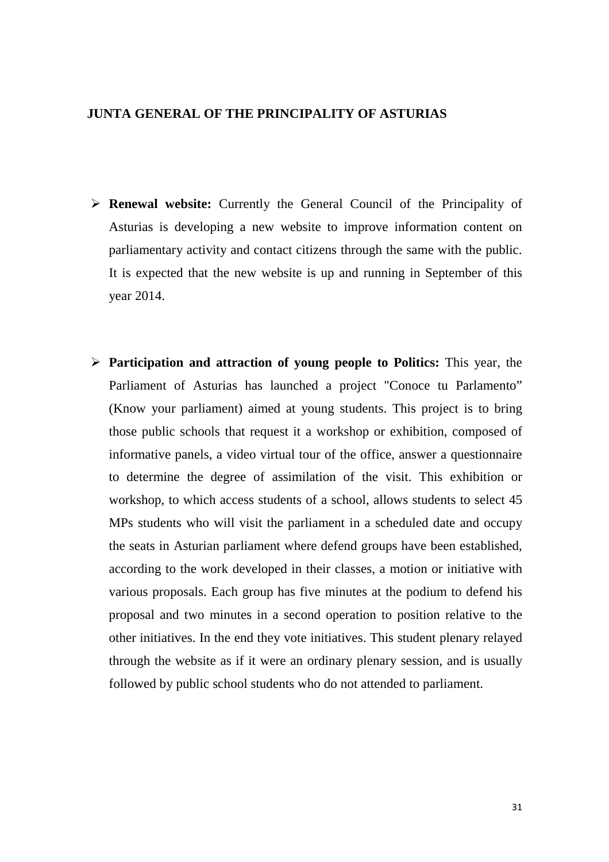#### **JUNTA GENERAL OF THE PRINCIPALITY OF ASTURIAS**

- **Renewal website:** Currently the General Council of the Principality of Asturias is developing a new website to improve information content on parliamentary activity and contact citizens through the same with the public. It is expected that the new website is up and running in September of this year 2014.
- **Participation and attraction of young people to Politics:** This year, the Parliament of Asturias has launched a project "Conoce tu Parlamento" (Know your parliament) aimed at young students. This project is to bring those public schools that request it a workshop or exhibition, composed of informative panels, a video virtual tour of the office, answer a questionnaire to determine the degree of assimilation of the visit. This exhibition or workshop, to which access students of a school, allows students to select 45 MPs students who will visit the parliament in a scheduled date and occupy the seats in Asturian parliament where defend groups have been established, according to the work developed in their classes, a motion or initiative with various proposals. Each group has five minutes at the podium to defend his proposal and two minutes in a second operation to position relative to the other initiatives. In the end they vote initiatives. This student plenary relayed through the website as if it were an ordinary plenary session, and is usually followed by public school students who do not attended to parliament.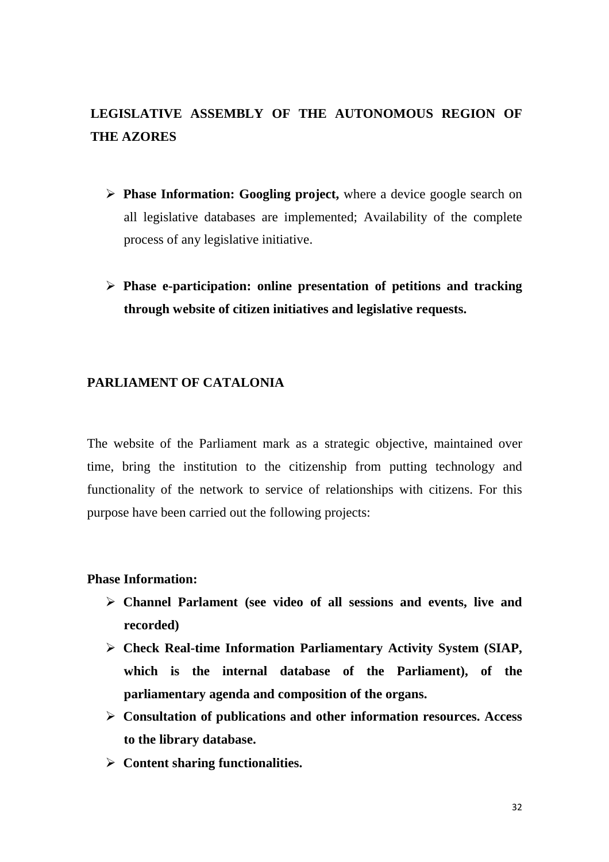## **LEGISLATIVE ASSEMBLY OF THE AUTONOMOUS REGION OF THE AZORES**

- **Phase Information: Googling project,** where a device google search on all legislative databases are implemented; Availability of the complete process of any legislative initiative.
- **Phase e-participation: online presentation of petitions and tracking through website of citizen initiatives and legislative requests.**

### **PARLIAMENT OF CATALONIA**

The website of the Parliament mark as a strategic objective, maintained over time, bring the institution to the citizenship from putting technology and functionality of the network to service of relationships with citizens. For this purpose have been carried out the following projects:

#### **Phase Information:**

- **Channel Parlament (see video of all sessions and events, live and recorded)**
- **Check Real-time Information Parliamentary Activity System (SIAP, which is the internal database of the Parliament), of the parliamentary agenda and composition of the organs.**
- **Consultation of publications and other information resources. Access to the library database.**
- **Content sharing functionalities.**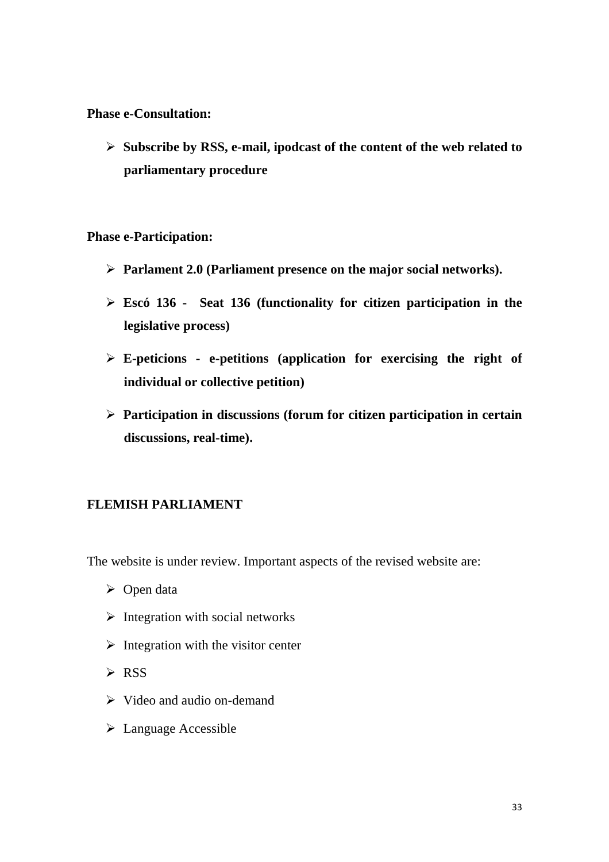**Phase e-Consultation:** 

 **Subscribe by RSS, e-mail, ipodcast of the content of the web related to parliamentary procedure** 

**Phase e-Participation:** 

- **Parlament 2.0 (Parliament presence on the major social networks).**
- **Escó 136 Seat 136 (functionality for citizen participation in the legislative process)**
- **E-peticions e-petitions (application for exercising the right of individual or collective petition)**
- **Participation in discussions (forum for citizen participation in certain discussions, real-time).**

## **FLEMISH PARLIAMENT**

The website is under review. Important aspects of the revised website are:

- $\triangleright$  Open data
- $\triangleright$  Integration with social networks
- $\triangleright$  Integration with the visitor center
- $\triangleright$  RSS
- $\triangleright$  Video and audio on-demand
- Language Accessible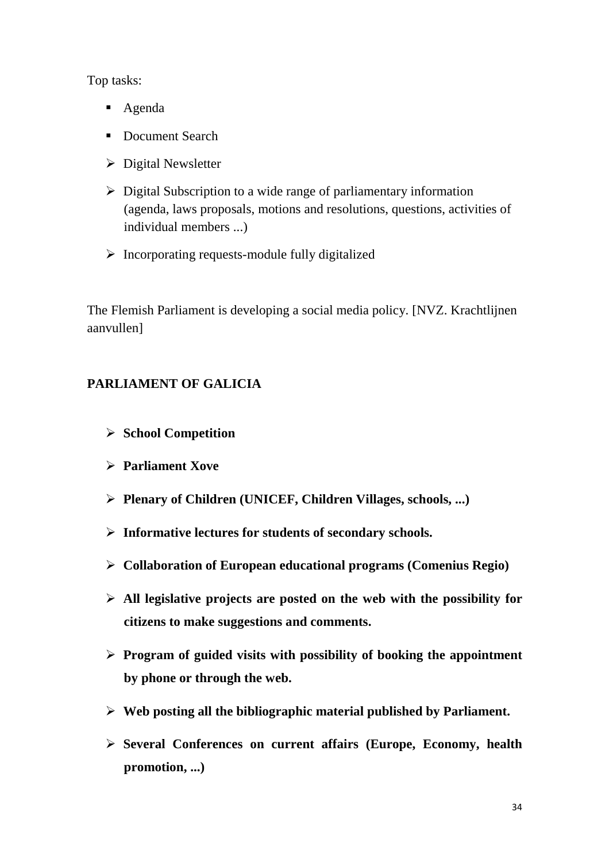Top tasks:

- Agenda
- Document Search
- $\triangleright$  Digital Newsletter
- $\triangleright$  Digital Subscription to a wide range of parliamentary information (agenda, laws proposals, motions and resolutions, questions, activities of individual members ...)
- $\triangleright$  Incorporating requests-module fully digitalized

The Flemish Parliament is developing a social media policy. [NVZ. Krachtlijnen aanvullen]

## **PARLIAMENT OF GALICIA**

- **School Competition**
- **Parliament Xove**
- **Plenary of Children (UNICEF, Children Villages, schools, ...)**
- **Informative lectures for students of secondary schools.**
- **Collaboration of European educational programs (Comenius Regio)**
- **All legislative projects are posted on the web with the possibility for citizens to make suggestions and comments.**
- **Program of guided visits with possibility of booking the appointment by phone or through the web.**
- **Web posting all the bibliographic material published by Parliament.**
- **Several Conferences on current affairs (Europe, Economy, health promotion, ...)**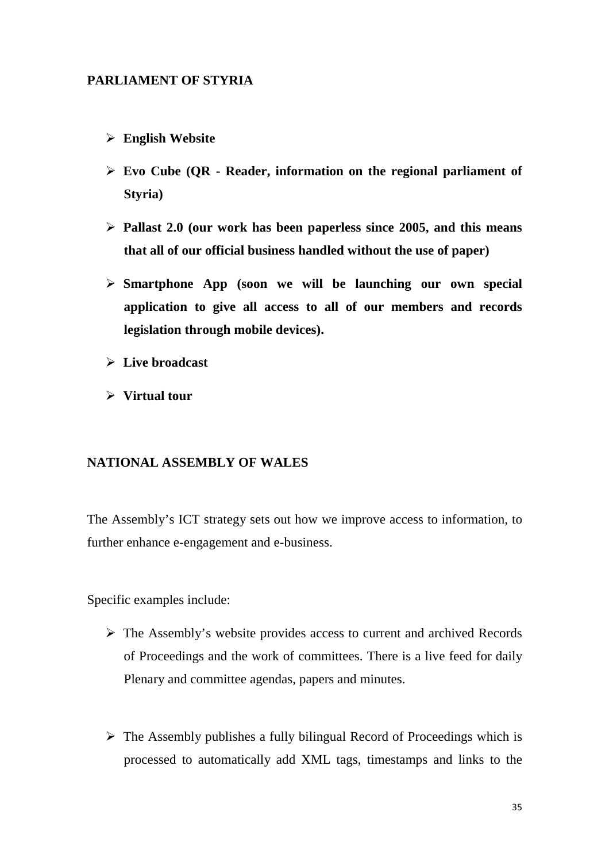### **PARLIAMENT OF STYRIA**

- **English Website**
- **Evo Cube (QR Reader, information on the regional parliament of Styria)**
- **Pallast 2.0 (our work has been paperless since 2005, and this means that all of our official business handled without the use of paper)**
- **Smartphone App (soon we will be launching our own special application to give all access to all of our members and records legislation through mobile devices).**
- **Live broadcast**
- **Virtual tour**

#### **NATIONAL ASSEMBLY OF WALES**

The Assembly's ICT strategy sets out how we improve access to information, to further enhance e-engagement and e-business.

Specific examples include:

- $\triangleright$  The Assembly's website provides access to current and archived Records of Proceedings and the work of committees. There is a live feed for daily Plenary and committee agendas, papers and minutes.
- $\triangleright$  The Assembly publishes a fully bilingual Record of Proceedings which is processed to automatically add XML tags, timestamps and links to the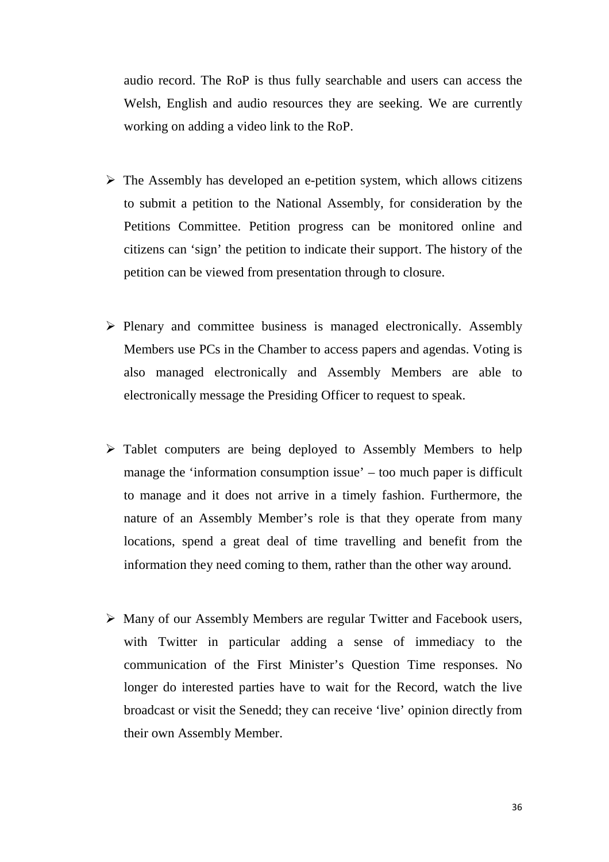audio record. The RoP is thus fully searchable and users can access the Welsh, English and audio resources they are seeking. We are currently working on adding a video link to the RoP.

- $\triangleright$  The Assembly has developed an e-petition system, which allows citizens to submit a petition to the National Assembly, for consideration by the Petitions Committee. Petition progress can be monitored online and citizens can 'sign' the petition to indicate their support. The history of the petition can be viewed from presentation through to closure.
- $\triangleright$  Plenary and committee business is managed electronically. Assembly Members use PCs in the Chamber to access papers and agendas. Voting is also managed electronically and Assembly Members are able to electronically message the Presiding Officer to request to speak.
- $\triangleright$  Tablet computers are being deployed to Assembly Members to help manage the 'information consumption issue' – too much paper is difficult to manage and it does not arrive in a timely fashion. Furthermore, the nature of an Assembly Member's role is that they operate from many locations, spend a great deal of time travelling and benefit from the information they need coming to them, rather than the other way around.
- Many of our Assembly Members are regular Twitter and Facebook users, with Twitter in particular adding a sense of immediacy to the communication of the First Minister's Question Time responses. No longer do interested parties have to wait for the Record, watch the live broadcast or visit the Senedd; they can receive 'live' opinion directly from their own Assembly Member.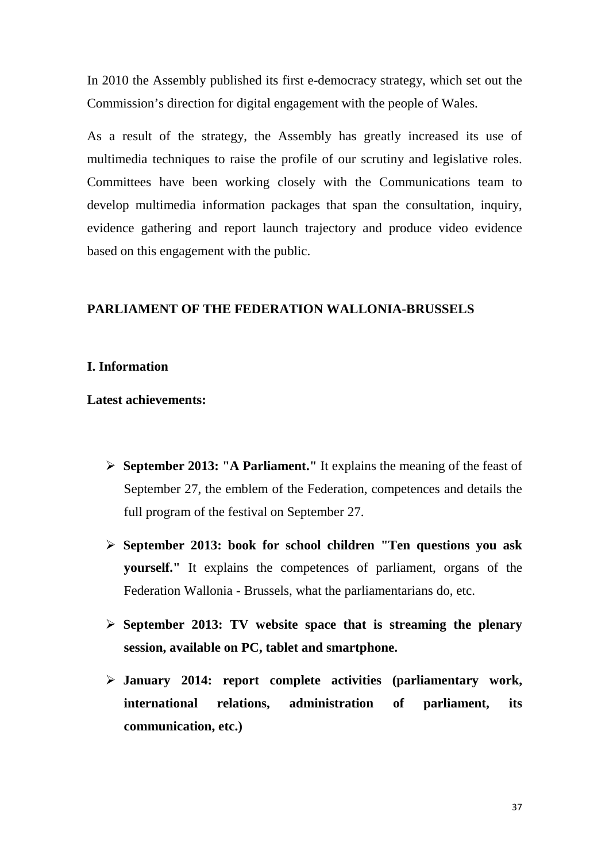In 2010 the Assembly published its first e-democracy strategy, which set out the Commission's direction for digital engagement with the people of Wales.

As a result of the strategy, the Assembly has greatly increased its use of multimedia techniques to raise the profile of our scrutiny and legislative roles. Committees have been working closely with the Communications team to develop multimedia information packages that span the consultation, inquiry, evidence gathering and report launch trajectory and produce video evidence based on this engagement with the public.

### **PARLIAMENT OF THE FEDERATION WALLONIA-BRUSSELS**

#### **I. Information**

**Latest achievements:** 

- **September 2013: "A Parliament."** It explains the meaning of the feast of September 27, the emblem of the Federation, competences and details the full program of the festival on September 27.
- **September 2013: book for school children "Ten questions you ask yourself."** It explains the competences of parliament, organs of the Federation Wallonia - Brussels, what the parliamentarians do, etc.
- **September 2013: TV website space that is streaming the plenary session, available on PC, tablet and smartphone.**
- **January 2014: report complete activities (parliamentary work, international relations, administration of parliament, its communication, etc.)**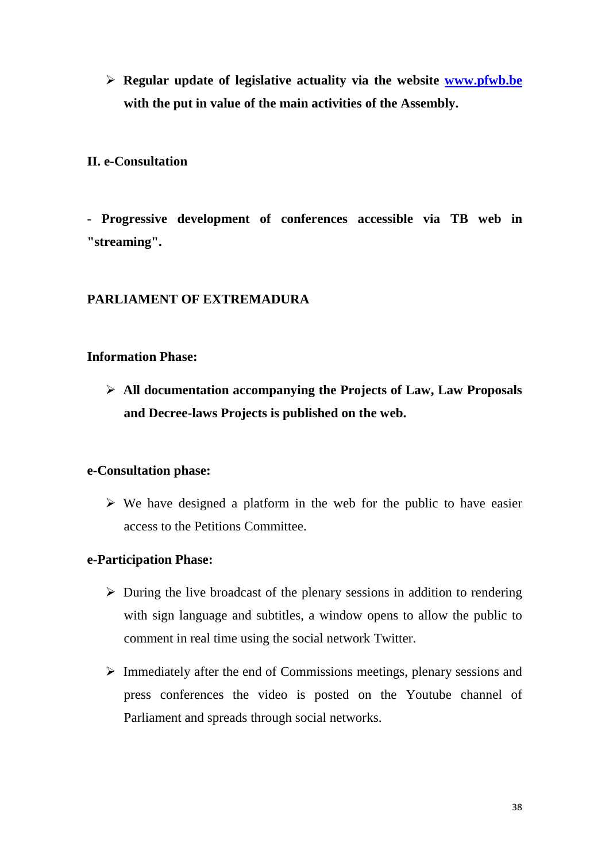**Regular update of legislative actuality via the website www.pfwb.be with the put in value of the main activities of the Assembly.** 

### **II. e-Consultation**

**- Progressive development of conferences accessible via TB web in "streaming".** 

## **PARLIAMENT OF EXTREMADURA**

#### **Information Phase:**

 **All documentation accompanying the Projects of Law, Law Proposals and Decree-laws Projects is published on the web.** 

#### **e-Consultation phase:**

 $\triangleright$  We have designed a platform in the web for the public to have easier access to the Petitions Committee.

#### **e-Participation Phase:**

- $\triangleright$  During the live broadcast of the plenary sessions in addition to rendering with sign language and subtitles, a window opens to allow the public to comment in real time using the social network Twitter.
- $\triangleright$  Immediately after the end of Commissions meetings, plenary sessions and press conferences the video is posted on the Youtube channel of Parliament and spreads through social networks.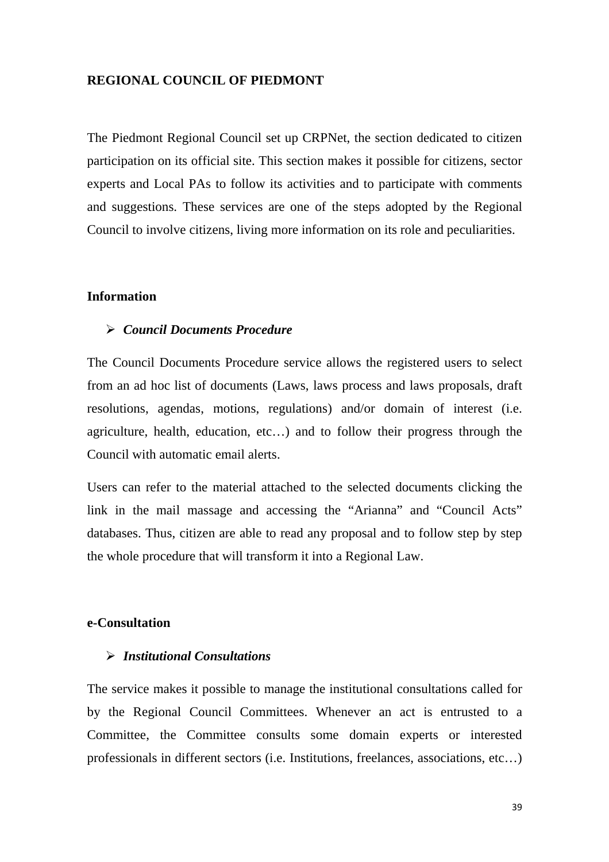#### **REGIONAL COUNCIL OF PIEDMONT**

The Piedmont Regional Council set up CRPNet, the section dedicated to citizen participation on its official site. This section makes it possible for citizens, sector experts and Local PAs to follow its activities and to participate with comments and suggestions. These services are one of the steps adopted by the Regional Council to involve citizens, living more information on its role and peculiarities.

#### **Information**

#### *Council Documents Procedure*

The Council Documents Procedure service allows the registered users to select from an ad hoc list of documents (Laws, laws process and laws proposals, draft resolutions, agendas, motions, regulations) and/or domain of interest (i.e. agriculture, health, education, etc…) and to follow their progress through the Council with automatic email alerts.

Users can refer to the material attached to the selected documents clicking the link in the mail massage and accessing the "Arianna" and "Council Acts" databases. Thus, citizen are able to read any proposal and to follow step by step the whole procedure that will transform it into a Regional Law.

#### **e-Consultation**

### *Institutional Consultations*

The service makes it possible to manage the institutional consultations called for by the Regional Council Committees. Whenever an act is entrusted to a Committee, the Committee consults some domain experts or interested professionals in different sectors (i.e. Institutions, freelances, associations, etc…)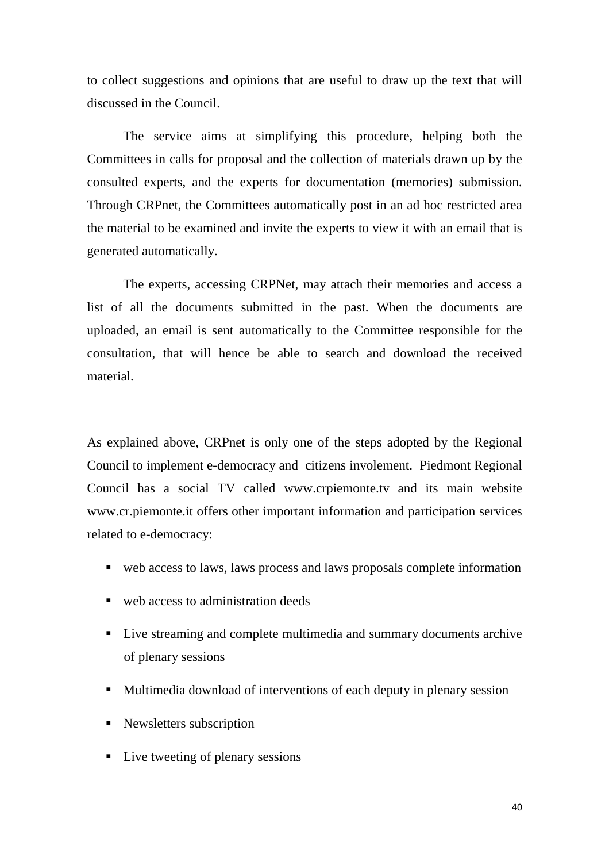to collect suggestions and opinions that are useful to draw up the text that will discussed in the Council.

 The service aims at simplifying this procedure, helping both the Committees in calls for proposal and the collection of materials drawn up by the consulted experts, and the experts for documentation (memories) submission. Through CRPnet, the Committees automatically post in an ad hoc restricted area the material to be examined and invite the experts to view it with an email that is generated automatically.

 The experts, accessing CRPNet, may attach their memories and access a list of all the documents submitted in the past. When the documents are uploaded, an email is sent automatically to the Committee responsible for the consultation, that will hence be able to search and download the received material.

As explained above, CRPnet is only one of the steps adopted by the Regional Council to implement e-democracy and citizens involement. Piedmont Regional Council has a social TV called www.crpiemonte.tv and its main website www.cr.piemonte.it offers other important information and participation services related to e-democracy:

- web access to laws, laws process and laws proposals complete information
- web access to administration deeds
- Live streaming and complete multimedia and summary documents archive of plenary sessions
- Multimedia download of interventions of each deputy in plenary session
- **-** Newsletters subscription
- Live tweeting of plenary sessions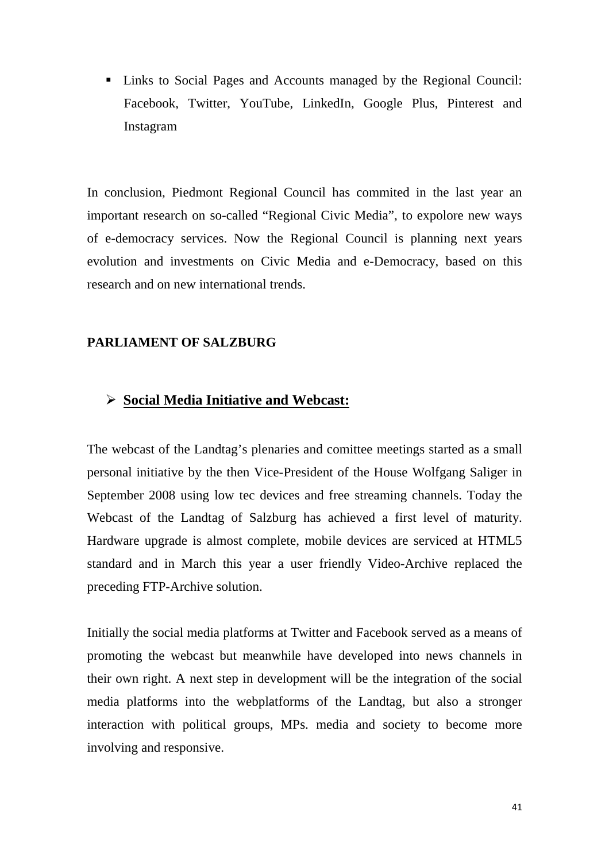- Links to Social Pages and Accounts managed by the Regional Council: Facebook, Twitter, YouTube, LinkedIn, Google Plus, Pinterest and Instagram

In conclusion, Piedmont Regional Council has commited in the last year an important research on so-called "Regional Civic Media", to expolore new ways of e-democracy services. Now the Regional Council is planning next years evolution and investments on Civic Media and e-Democracy, based on this research and on new international trends.

#### **PARLIAMENT OF SALZBURG**

#### **Social Media Initiative and Webcast:**

The webcast of the Landtag's plenaries and comittee meetings started as a small personal initiative by the then Vice-President of the House Wolfgang Saliger in September 2008 using low tec devices and free streaming channels. Today the Webcast of the Landtag of Salzburg has achieved a first level of maturity. Hardware upgrade is almost complete, mobile devices are serviced at HTML5 standard and in March this year a user friendly Video-Archive replaced the preceding FTP-Archive solution.

Initially the social media platforms at Twitter and Facebook served as a means of promoting the webcast but meanwhile have developed into news channels in their own right. A next step in development will be the integration of the social media platforms into the webplatforms of the Landtag, but also a stronger interaction with political groups, MPs. media and society to become more involving and responsive.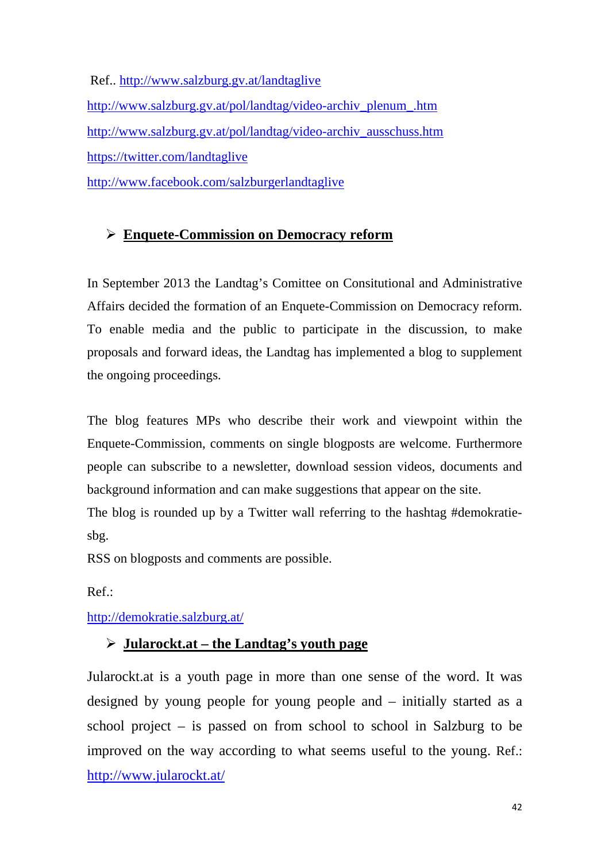Ref.. http://www.salzburg.gv.at/landtaglive http://www.salzburg.gv.at/pol/landtag/video-archiv\_plenum\_.htm http://www.salzburg.gv.at/pol/landtag/video-archiv\_ausschuss.htm https://twitter.com/landtaglive http://www.facebook.com/salzburgerlandtaglive

## **Enquete-Commission on Democracy reform**

In September 2013 the Landtag's Comittee on Consitutional and Administrative Affairs decided the formation of an Enquete-Commission on Democracy reform. To enable media and the public to participate in the discussion, to make proposals and forward ideas, the Landtag has implemented a blog to supplement the ongoing proceedings.

The blog features MPs who describe their work and viewpoint within the Enquete-Commission, comments on single blogposts are welcome. Furthermore people can subscribe to a newsletter, download session videos, documents and background information and can make suggestions that appear on the site. The blog is rounded up by a Twitter wall referring to the hashtag #demokratiesbg.

RSS on blogposts and comments are possible.

Ref.:

http://demokratie.salzburg.at/

## **Jularockt.at – the Landtag's youth page**

Jularockt.at is a youth page in more than one sense of the word. It was designed by young people for young people and – initially started as a school project – is passed on from school to school in Salzburg to be improved on the way according to what seems useful to the young. Ref.: http://www.jularockt.at/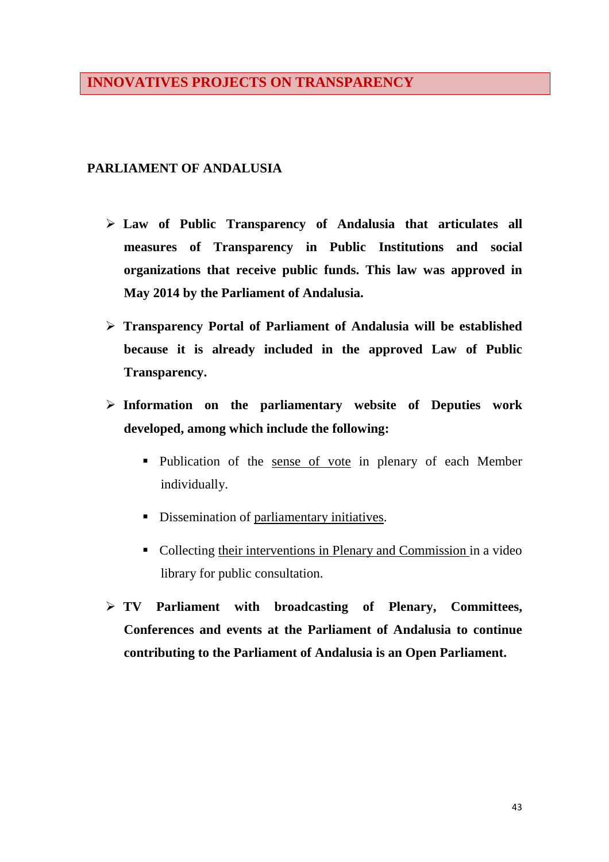## **INNOVATIVES PROJECTS ON TRANSPARENCY**

### **PARLIAMENT OF ANDALUSIA**

- **Law of Public Transparency of Andalusia that articulates all measures of Transparency in Public Institutions and social organizations that receive public funds. This law was approved in May 2014 by the Parliament of Andalusia.**
- **Transparency Portal of Parliament of Andalusia will be established because it is already included in the approved Law of Public Transparency.**
- **Information on the parliamentary website of Deputies work developed, among which include the following:** 
	- Publication of the sense of vote in plenary of each Member individually.
	- **•** Dissemination of parliamentary initiatives.
	- Collecting their interventions in Plenary and Commission in a video library for public consultation.
- **TV Parliament with broadcasting of Plenary, Committees, Conferences and events at the Parliament of Andalusia to continue contributing to the Parliament of Andalusia is an Open Parliament.**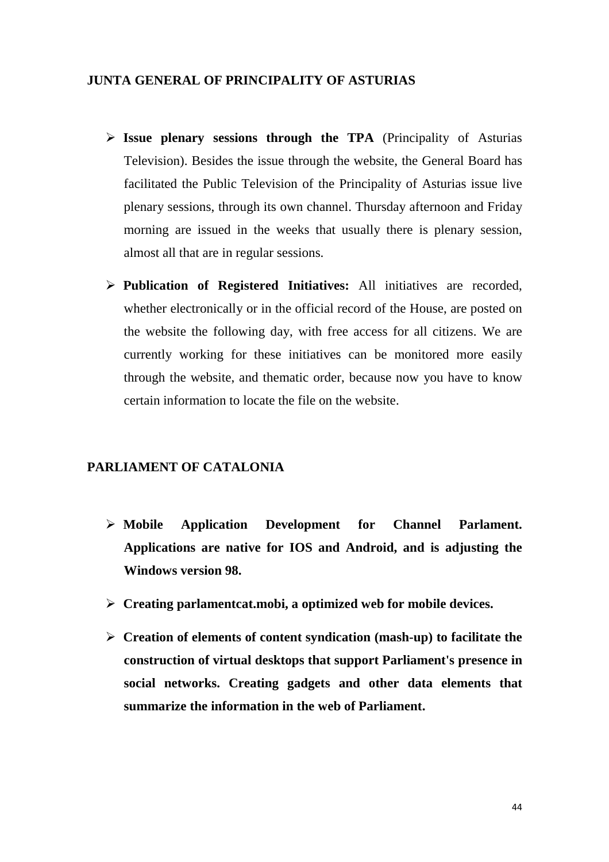#### **JUNTA GENERAL OF PRINCIPALITY OF ASTURIAS**

- **Issue plenary sessions through the TPA** (Principality of Asturias Television). Besides the issue through the website, the General Board has facilitated the Public Television of the Principality of Asturias issue live plenary sessions, through its own channel. Thursday afternoon and Friday morning are issued in the weeks that usually there is plenary session, almost all that are in regular sessions.
- **Publication of Registered Initiatives:** All initiatives are recorded, whether electronically or in the official record of the House, are posted on the website the following day, with free access for all citizens. We are currently working for these initiatives can be monitored more easily through the website, and thematic order, because now you have to know certain information to locate the file on the website.

### **PARLIAMENT OF CATALONIA**

- **Mobile Application Development for Channel Parlament. Applications are native for IOS and Android, and is adjusting the Windows version 98.**
- **Creating parlamentcat.mobi, a optimized web for mobile devices.**
- **Creation of elements of content syndication (mash-up) to facilitate the construction of virtual desktops that support Parliament's presence in social networks. Creating gadgets and other data elements that summarize the information in the web of Parliament.**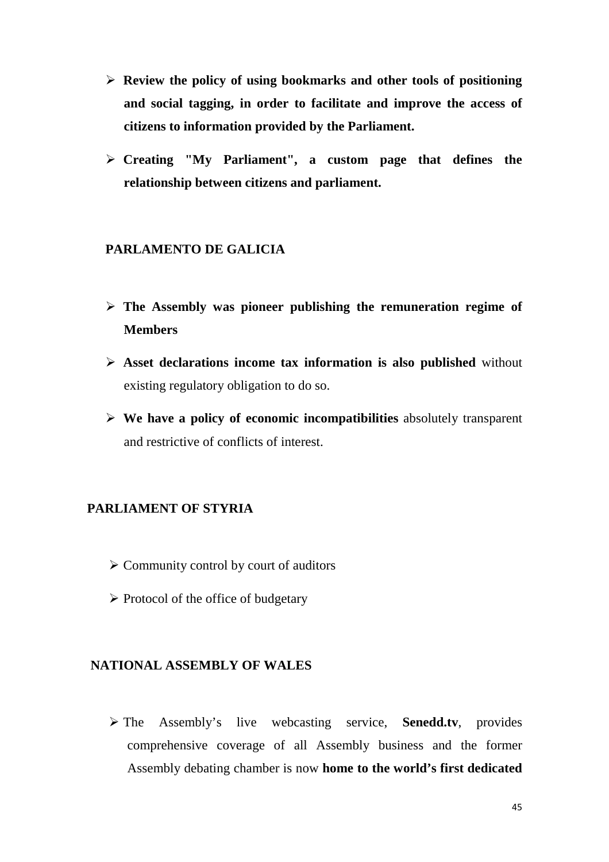- **Review the policy of using bookmarks and other tools of positioning and social tagging, in order to facilitate and improve the access of citizens to information provided by the Parliament.**
- **Creating "My Parliament", a custom page that defines the relationship between citizens and parliament.**

## **PARLAMENTO DE GALICIA**

- **The Assembly was pioneer publishing the remuneration regime of Members**
- **Asset declarations income tax information is also published** without existing regulatory obligation to do so.
- **We have a policy of economic incompatibilities** absolutely transparent and restrictive of conflicts of interest.

#### **PARLIAMENT OF STYRIA**

- $\triangleright$  Community control by court of auditors
- $\triangleright$  Protocol of the office of budgetary

#### **NATIONAL ASSEMBLY OF WALES**

 The Assembly's live webcasting service, **Senedd.tv**, provides comprehensive coverage of all Assembly business and the former Assembly debating chamber is now **home to the world's first dedicated**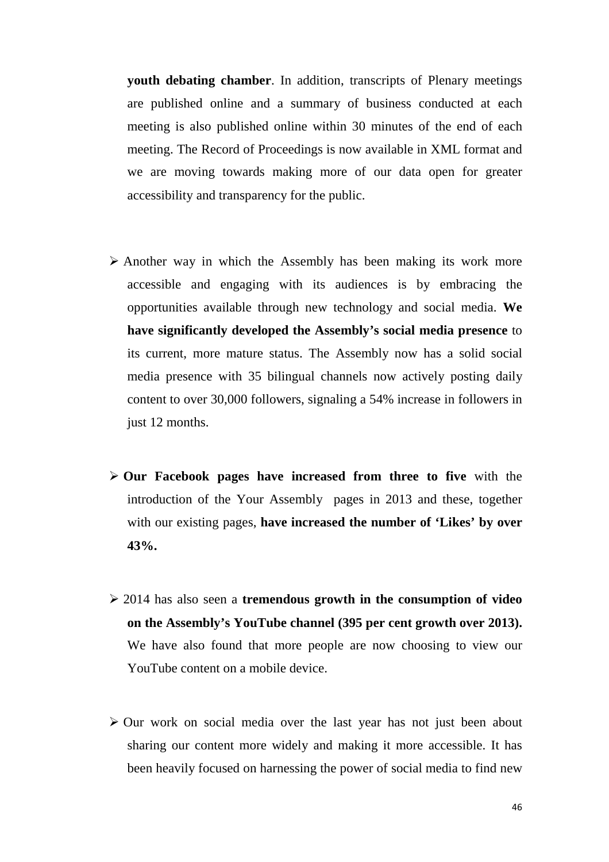**youth debating chamber**. In addition, transcripts of Plenary meetings are published online and a summary of business conducted at each meeting is also published online within 30 minutes of the end of each meeting. The Record of Proceedings is now available in XML format and we are moving towards making more of our data open for greater accessibility and transparency for the public.

- $\triangleright$  Another way in which the Assembly has been making its work more accessible and engaging with its audiences is by embracing the opportunities available through new technology and social media. **We have significantly developed the Assembly's social media presence** to its current, more mature status. The Assembly now has a solid social media presence with 35 bilingual channels now actively posting daily content to over 30,000 followers, signaling a 54% increase in followers in just 12 months.
- **Our Facebook pages have increased from three to five** with the introduction of the Your Assembly pages in 2013 and these, together with our existing pages, **have increased the number of 'Likes' by over 43%.**
- 2014 has also seen a **tremendous growth in the consumption of video on the Assembly's YouTube channel (395 per cent growth over 2013).** We have also found that more people are now choosing to view our YouTube content on a mobile device.
- $\triangleright$  Our work on social media over the last year has not just been about sharing our content more widely and making it more accessible. It has been heavily focused on harnessing the power of social media to find new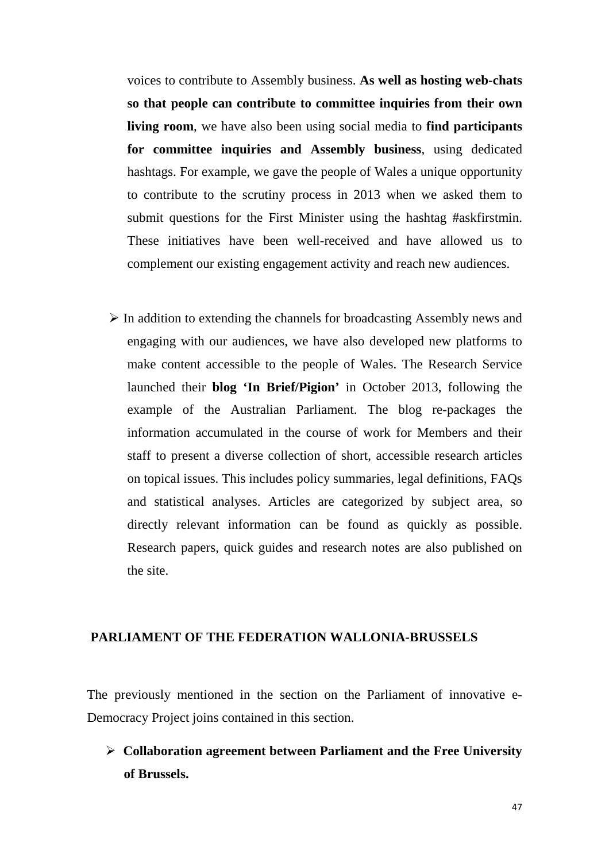voices to contribute to Assembly business. **As well as hosting web-chats so that people can contribute to committee inquiries from their own living room**, we have also been using social media to **find participants for committee inquiries and Assembly business**, using dedicated hashtags. For example, we gave the people of Wales a unique opportunity to contribute to the scrutiny process in 2013 when we asked them to submit questions for the First Minister using the hashtag #askfirstmin. These initiatives have been well-received and have allowed us to complement our existing engagement activity and reach new audiences.

 $\triangleright$  In addition to extending the channels for broadcasting Assembly news and engaging with our audiences, we have also developed new platforms to make content accessible to the people of Wales. The Research Service launched their **blog 'In Brief/Pigion'** in October 2013, following the example of the Australian Parliament. The blog re-packages the information accumulated in the course of work for Members and their staff to present a diverse collection of short, accessible research articles on topical issues. This includes policy summaries, legal definitions, FAQs and statistical analyses. Articles are categorized by subject area, so directly relevant information can be found as quickly as possible. Research papers, quick guides and research notes are also published on the site.

### **PARLIAMENT OF THE FEDERATION WALLONIA-BRUSSELS**

The previously mentioned in the section on the Parliament of innovative e-Democracy Project joins contained in this section.

 **Collaboration agreement between Parliament and the Free University of Brussels.**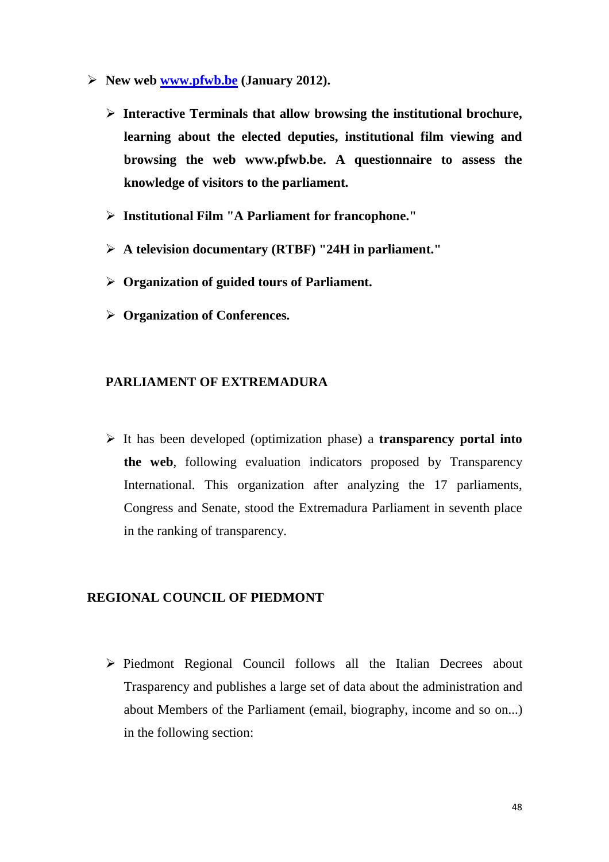- **New web www.pfwb.be (January 2012).** 
	- **Interactive Terminals that allow browsing the institutional brochure, learning about the elected deputies, institutional film viewing and browsing the web www.pfwb.be. A questionnaire to assess the knowledge of visitors to the parliament.**
	- **Institutional Film "A Parliament for francophone."**
	- **A television documentary (RTBF) "24H in parliament."**
	- **Organization of guided tours of Parliament.**
	- **Organization of Conferences.**

#### **PARLIAMENT OF EXTREMADURA**

 It has been developed (optimization phase) a **transparency portal into the web**, following evaluation indicators proposed by Transparency International. This organization after analyzing the 17 parliaments, Congress and Senate, stood the Extremadura Parliament in seventh place in the ranking of transparency.

#### **REGIONAL COUNCIL OF PIEDMONT**

 $\triangleright$  Piedmont Regional Council follows all the Italian Decrees about Trasparency and publishes a large set of data about the administration and about Members of the Parliament (email, biography, income and so on...) in the following section: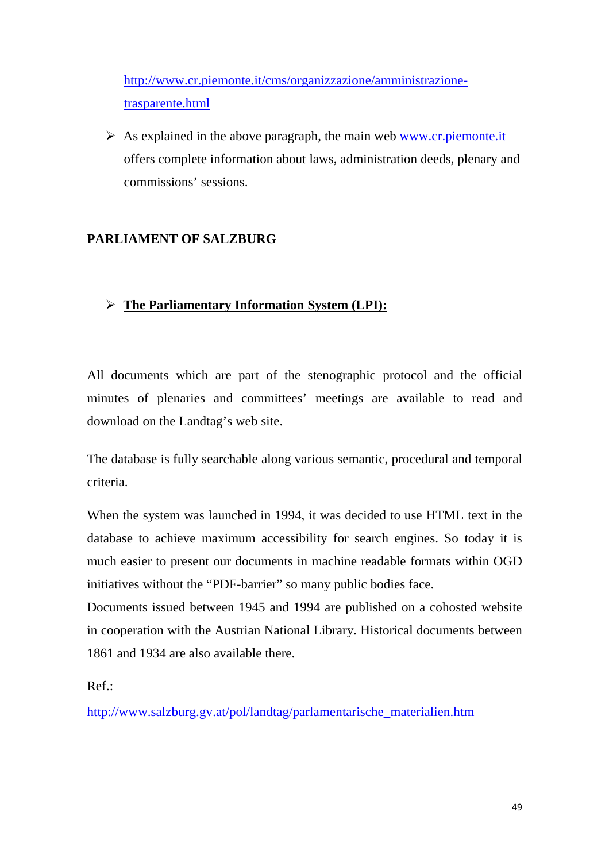http://www.cr.piemonte.it/cms/organizzazione/amministrazionetrasparente.html

 $\triangleright$  As explained in the above paragraph, the main web www.cr.piemonte.it offers complete information about laws, administration deeds, plenary and commissions' sessions.

## **PARLIAMENT OF SALZBURG**

## **The Parliamentary Information System (LPI):**

All documents which are part of the stenographic protocol and the official minutes of plenaries and committees' meetings are available to read and download on the Landtag's web site.

The database is fully searchable along various semantic, procedural and temporal criteria.

When the system was launched in 1994, it was decided to use HTML text in the database to achieve maximum accessibility for search engines. So today it is much easier to present our documents in machine readable formats within OGD initiatives without the "PDF-barrier" so many public bodies face.

Documents issued between 1945 and 1994 are published on a cohosted website in cooperation with the Austrian National Library. Historical documents between 1861 and 1934 are also available there.

Ref.:

http://www.salzburg.gv.at/pol/landtag/parlamentarische\_materialien.htm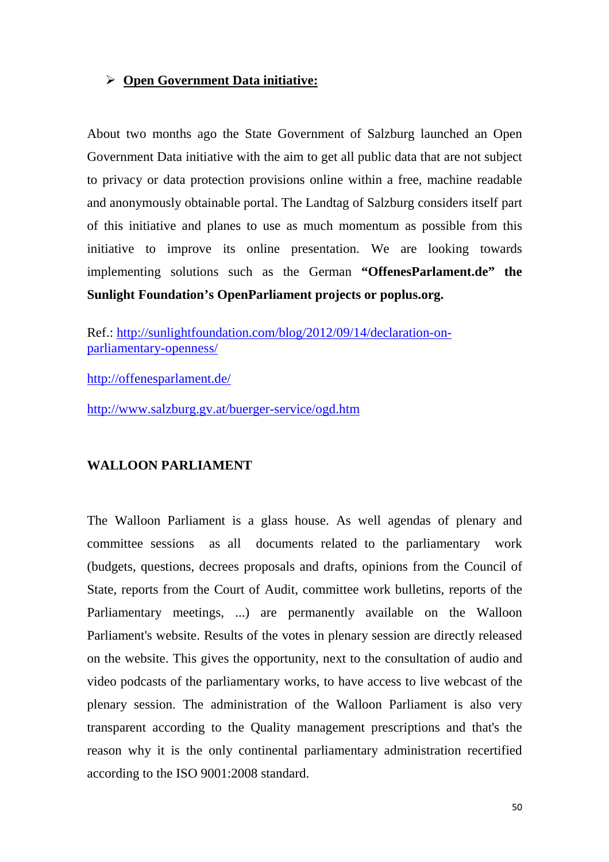#### **Open Government Data initiative:**

About two months ago the State Government of Salzburg launched an Open Government Data initiative with the aim to get all public data that are not subject to privacy or data protection provisions online within a free, machine readable and anonymously obtainable portal. The Landtag of Salzburg considers itself part of this initiative and planes to use as much momentum as possible from this initiative to improve its online presentation. We are looking towards implementing solutions such as the German **"OffenesParlament.de" the Sunlight Foundation's OpenParliament projects or poplus.org.** 

Ref.: http://sunlightfoundation.com/blog/2012/09/14/declaration-onparliamentary-openness/

http://offenesparlament.de/

http://www.salzburg.gv.at/buerger-service/ogd.htm

## **WALLOON PARLIAMENT**

The Walloon Parliament is a glass house. As well agendas of plenary and committee sessions as all documents related to the parliamentary work (budgets, questions, decrees proposals and drafts, opinions from the Council of State, reports from the Court of Audit, committee work bulletins, reports of the Parliamentary meetings, ...) are permanently available on the Walloon Parliament's website. Results of the votes in plenary session are directly released on the website. This gives the opportunity, next to the consultation of audio and video podcasts of the parliamentary works, to have access to live webcast of the plenary session. The administration of the Walloon Parliament is also very transparent according to the Quality management prescriptions and that's the reason why it is the only continental parliamentary administration recertified according to the ISO 9001:2008 standard.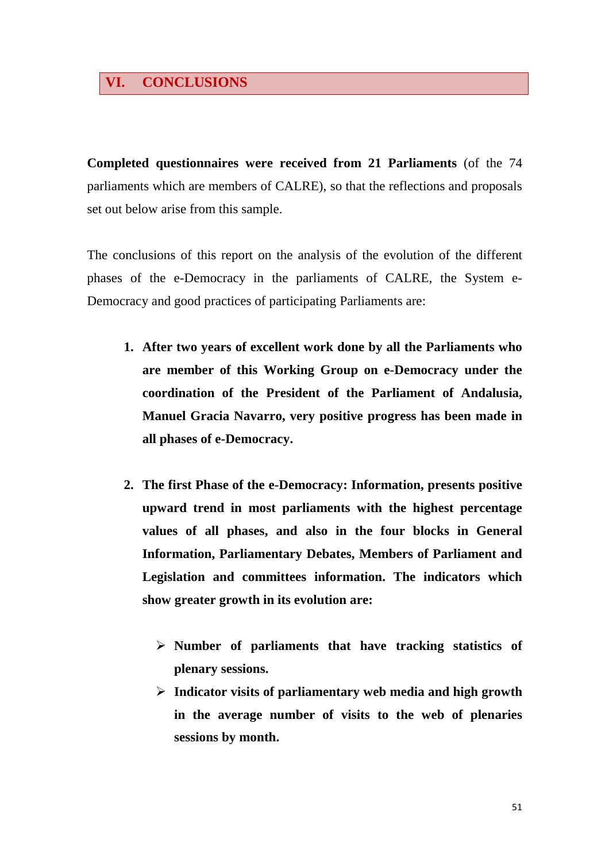## **VI. CONCLUSIONS**

**Completed questionnaires were received from 21 Parliaments** (of the 74 parliaments which are members of CALRE), so that the reflections and proposals set out below arise from this sample.

The conclusions of this report on the analysis of the evolution of the different phases of the e-Democracy in the parliaments of CALRE, the System e-Democracy and good practices of participating Parliaments are:

- **1. After two years of excellent work done by all the Parliaments who are member of this Working Group on e-Democracy under the coordination of the President of the Parliament of Andalusia, Manuel Gracia Navarro, very positive progress has been made in all phases of e-Democracy.**
- **2. The first Phase of the e-Democracy: Information, presents positive upward trend in most parliaments with the highest percentage values of all phases, and also in the four blocks in General Information, Parliamentary Debates, Members of Parliament and Legislation and committees information. The indicators which show greater growth in its evolution are:** 
	- **Number of parliaments that have tracking statistics of plenary sessions.**
	- **Indicator visits of parliamentary web media and high growth in the average number of visits to the web of plenaries sessions by month.**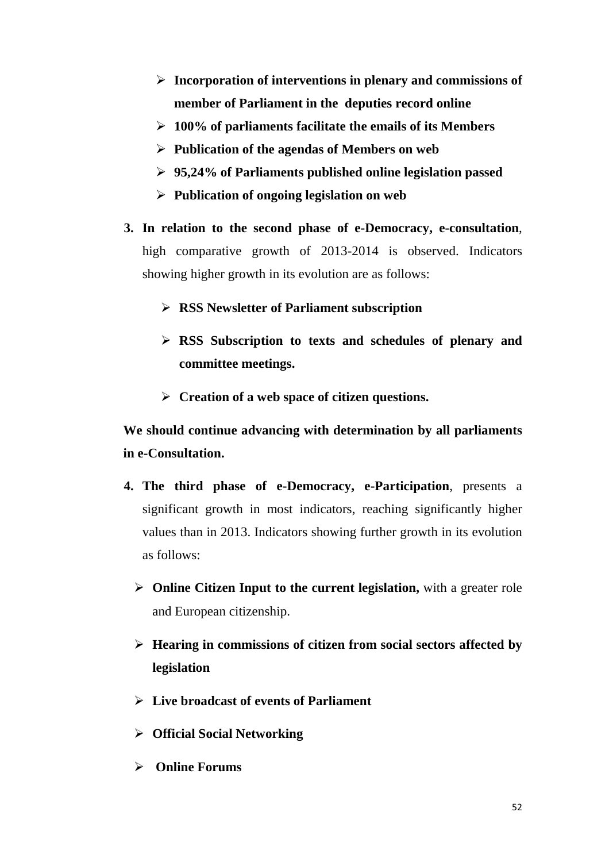- **Incorporation of interventions in plenary and commissions of member of Parliament in the deputies record online**
- **100% of parliaments facilitate the emails of its Members**
- **Publication of the agendas of Members on web**
- **95,24% of Parliaments published online legislation passed**
- **Publication of ongoing legislation on web**
- **3. In relation to the second phase of e-Democracy, e-consultation**, high comparative growth of 2013-2014 is observed. Indicators showing higher growth in its evolution are as follows:
	- **RSS Newsletter of Parliament subscription**
	- **RSS Subscription to texts and schedules of plenary and committee meetings.**
	- **Creation of a web space of citizen questions.**

**We should continue advancing with determination by all parliaments in e-Consultation.** 

- **4. The third phase of e-Democracy, e-Participation**, presents a significant growth in most indicators, reaching significantly higher values than in 2013. Indicators showing further growth in its evolution as follows:
	- **Online Citizen Input to the current legislation,** with a greater role and European citizenship.
	- **Hearing in commissions of citizen from social sectors affected by legislation**
	- **Live broadcast of events of Parliament**
	- **Official Social Networking**
	- **Online Forums**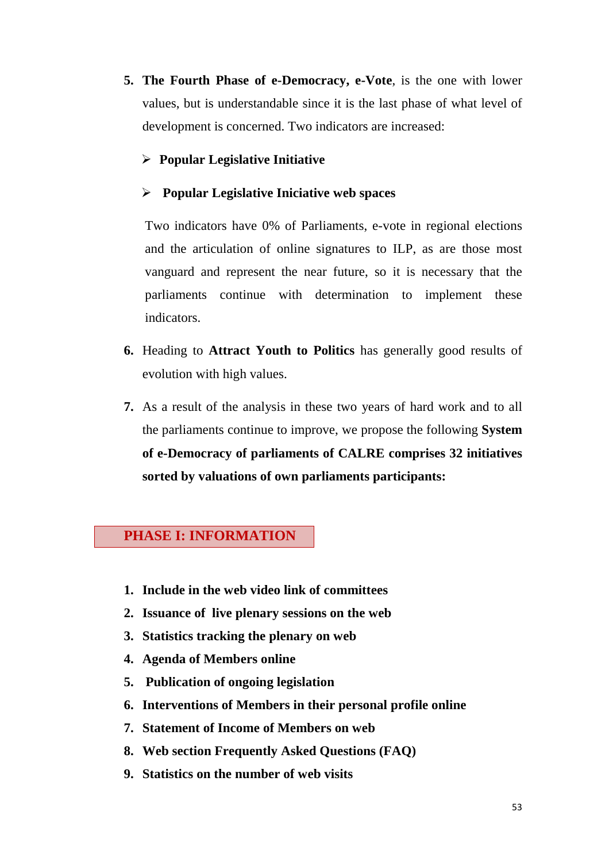**5. The Fourth Phase of e-Democracy, e-Vote**, is the one with lower values, but is understandable since it is the last phase of what level of development is concerned. Two indicators are increased:

## **Popular Legislative Initiative**

### **Popular Legislative Iniciative web spaces**

Two indicators have 0% of Parliaments, e-vote in regional elections and the articulation of online signatures to ILP, as are those most vanguard and represent the near future, so it is necessary that the parliaments continue with determination to implement these indicators.

- **6.** Heading to **Attract Youth to Politics** has generally good results of evolution with high values.
- **7.** As a result of the analysis in these two years of hard work and to all the parliaments continue to improve, we propose the following **System of e-Democracy of parliaments of CALRE comprises 32 initiatives sorted by valuations of own parliaments participants:**

## **PHASE I: INFORMATION**

- **1. Include in the web video link of committees**
- **2. Issuance of live plenary sessions on the web**
- **3. Statistics tracking the plenary on web**
- **4. Agenda of Members online**
- **5. Publication of ongoing legislation**
- **6. Interventions of Members in their personal profile online**
- **7. Statement of Income of Members on web**
- **8. Web section Frequently Asked Questions (FAQ)**
- **9. Statistics on the number of web visits**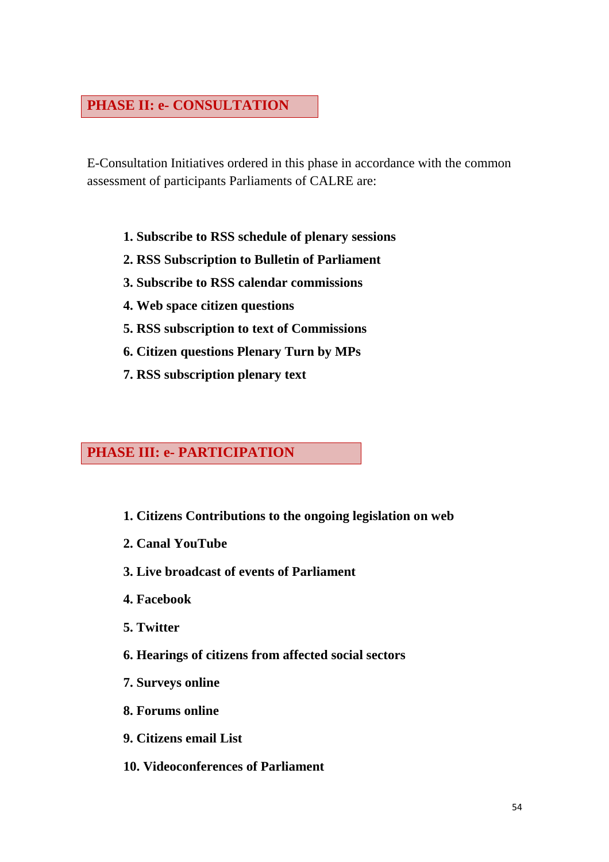## **PHASE II: e- CONSULTATION**

E-Consultation Initiatives ordered in this phase in accordance with the common assessment of participants Parliaments of CALRE are:

- **1. Subscribe to RSS schedule of plenary sessions**
- **2. RSS Subscription to Bulletin of Parliament**
- **3. Subscribe to RSS calendar commissions**
- **4. Web space citizen questions**
- **5. RSS subscription to text of Commissions**
- **6. Citizen questions Plenary Turn by MPs**
- **7. RSS subscription plenary text**

## **PHASE III: e- PARTICIPATION**

- **1. Citizens Contributions to the ongoing legislation on web**
- **2. Canal YouTube**
- **3. Live broadcast of events of Parliament**
- **4. Facebook**
- **5. Twitter**
- **6. Hearings of citizens from affected social sectors**
- **7. Surveys online**
- **8. Forums online**
- **9. Citizens email List**
- **10. Videoconferences of Parliament**